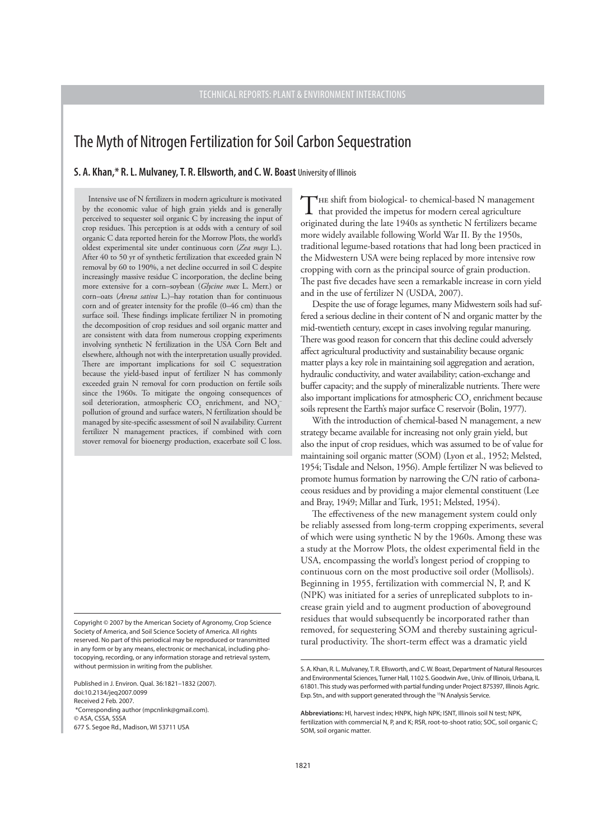# The Myth of Nitrogen Fertilization for Soil Carbon Sequestration

**S. A. Khan,\* R. L. Mulvaney, T. R. Ellsworth, and C. W. Boast** University of Illinois

Intensive use of N fertilizers in modern agriculture is motivated by the economic value of high grain yields and is generally perceived to sequester soil organic C by increasing the input of crop residues. This perception is at odds with a century of soil organic C data reported herein for the Morrow Plots, the world's oldest experimental site under continuous corn (*Zea mays* L.). After 40 to 50 yr of synthetic fertilization that exceeded grain N removal by 60 to 190%, a net decline occurred in soil C despite increasingly massive residue C incorporation, the decline being more extensive for a corn–soybean (*Glycine max* L. Merr.) or corn–oats (*Avena sativa* L.)–hay rotation than for continuous corn and of greater intensity for the profile (0–46 cm) than the surface soil. These findings implicate fertilizer N in promoting the decomposition of crop residues and soil organic matter and are consistent with data from numerous cropping experiments involving synthetic N fertilization in the USA Corn Belt and elsewhere, although not with the interpretation usually provided. There are important implications for soil C sequestration because the yield-based input of fertilizer N has commonly exceeded grain N removal for corn production on fertile soils since the 1960s. To mitigate the ongoing consequences of soil deterioration, atmospheric  $\text{CO}_2$  enrichment, and  $\text{NO}_3^$ pollution of ground and surface waters, N fertilization should be managed by site-specific assessment of soil N availability. Current fertilizer N management practices, if combined with corn stover removal for bioenergy production, exacerbate soil C loss.

Copyright © 2007 by the American Society of Agronomy, Crop Science Society of America, and Soil Science Society of America. All rights reserved. No part of this periodical may be reproduced or transmitted in any form or by any means, electronic or mechanical, including photocopying, recording, or any information storage and retrieval system, without permission in writing from the publisher.

Published in J. Environ. Qual. 36:1821–1832 (2007). doi:10.2134/jeq2007.0099 Received 2 Feb. 2007.

\*Corresponding author (mpcnlink@gmail.com).

© ASA, CSSA, SSSA 677 S. Segoe Rd., Madison, WI 53711 USA THE shift from biological- to chemical-based N management that provided the impetus for modern cereal agriculture originated during the late 1940s as synthetic N fertilizers became more widely available following World War II. By the 1950s, traditional legume-based rotations that had long been practiced in the Midwestern USA were being replaced by more intensive row cropping with corn as the principal source of grain production. The past five decades have seen a remarkable increase in corn yield and in the use of fertilizer N (USDA, 2007).

Despite the use of forage legumes, many Midwestern soils had suffered a serious decline in their content of N and organic matter by the mid-twentieth century, except in cases involving regular manuring. There was good reason for concern that this decline could adversely affect agricultural productivity and sustainability because organic matter plays a key role in maintaining soil aggregation and aeration, hydraulic conductivity, and water availability; cation-exchange and buffer capacity; and the supply of mineralizable nutrients. There were also important implications for atmospheric  $\mathrm{CO}_2$  enrichment because soils represent the Earth's major surface C reservoir (Bolin, 1977).

With the introduction of chemical-based N management, a new strategy became available for increasing not only grain yield, but also the input of crop residues, which was assumed to be of value for maintaining soil organic matter (SOM) (Lyon et al., 1952; Melsted, 1954; Tisdale and Nelson, 1956). Ample fertilizer N was believed to promote humus formation by narrowing the C/N ratio of carbonaceous residues and by providing a major elemental constituent (Lee and Bray, 1949; Millar and Turk, 1951; Melsted, 1954).

The effectiveness of the new management system could only be reliably assessed from long-term cropping experiments, several of which were using synthetic N by the 1960s. Among these was a study at the Morrow Plots, the oldest experimental field in the USA, encompassing the world's longest period of cropping to continuous corn on the most productive soil order (Mollisols). Beginning in 1955, fertilization with commercial N, P, and K (NPK) was initiated for a series of unreplicated subplots to increase grain yield and to augment production of aboveground residues that would subsequently be incorporated rather than removed, for sequestering SOM and thereby sustaining agricultural productivity. The short-term effect was a dramatic yield

S. A. Khan, R. L. Mulvaney, T. R. Ellsworth, and C. W. Boast, Department of Natural Resources and Environmental Sciences, Turner Hall, 1102 S. Goodwin Ave., Univ. of Illinois, Urbana, IL 61801. This study was performed with partial funding under Project 875397, Illinois Agric. Exp. Stn., and with support generated through the 15N Analysis Service.

**Abbreviations:** HI, harvest index; HNPK, high NPK; ISNT, Illinois soil N test; NPK, fertilization with commercial N, P, and K; RSR, root-to-shoot ratio; SOC, soil organic C; SOM, soil organic matter.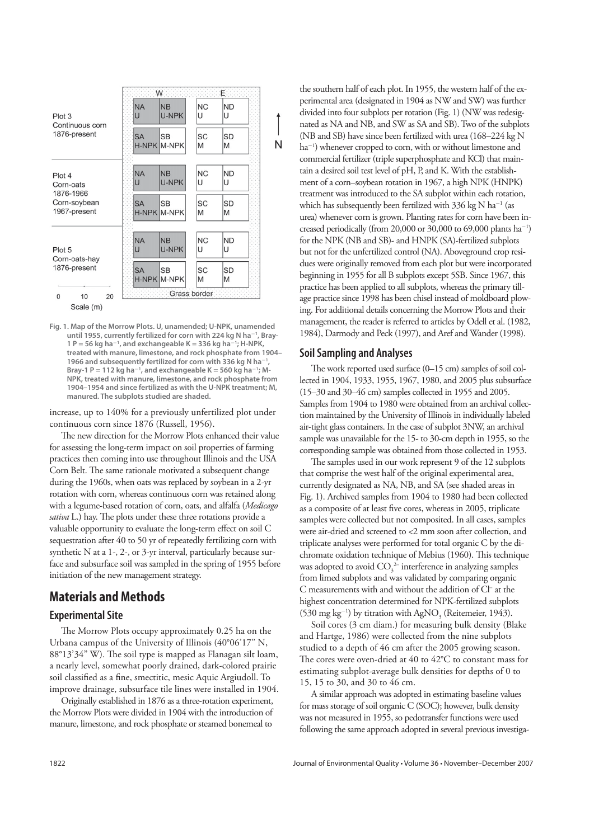|                                           |                | W.                              |                      | Έ              |   |
|-------------------------------------------|----------------|---------------------------------|----------------------|----------------|---|
| Plot 3<br>Continuous corn                 | <b>NA</b><br>U | <b>NB</b><br>U-NPK              | N <sub>C</sub><br>U  | <b>ND</b><br>U |   |
| 1876-present                              | <b>SA</b>      | <b>SB</b><br><b>H-NPK M-NPK</b> | <b>SC</b><br>M       | <b>SD</b><br>M | N |
| Plot 4<br>Corn-oats                       | <b>NA</b><br>U | <b>NB</b><br>U-NPK              | N <sub>C</sub><br>U  | <b>ND</b><br>U |   |
| 1876-1966<br>Corn-soybean<br>1967-present | <b>SA</b>      | <b>SB</b><br>H-NPK M-NPK        | SC<br>M              | <b>SD</b><br>M |   |
| Plot 5<br>Corn-oats-hay                   | <b>NA</b><br>U | <b>NB</b><br>U-NPK              | N <sub>C</sub><br>ΙU | <b>ND</b><br>U |   |
| 1876-present                              | <b>SA</b>      | <b>SB</b><br><b>H-NPK M-NPK</b> | SC<br>M              | <b>SD</b><br>M |   |
| 20<br>$\mathbf{0}$<br>10                  |                |                                 | Grass border         |                |   |
| Scale (m)                                 |                |                                 |                      |                |   |

**Fig. 1. Map of the Morrow Plots. U, unamended; U-NPK, unamended until 1955, currently fertilized for corn with 224 kg N ha-1 , Bray-1 P = 56 kg ha-1 , and exchangeable K = 336 kg ha-1 ; H-NPK, treated with manure, limestone, and rock phosphate from 1904– 1966 and subsequently fertilized for corn with 336 kg N ha-1 , Bray-1 P** = 112 kg ha<sup>-1</sup>, and exchangeable K = 560 kg ha<sup>-1</sup>; M-**NPK, treated with manure, limestone, and rock phosphate from 1904–1954 and since fertilized as with the U-NPK treatment; M, manured. The subplots studied are shaded.**

increase, up to 140% for a previously unfertilized plot under continuous corn since 1876 (Russell, 1956).

The new direction for the Morrow Plots enhanced their value for assessing the long-term impact on soil properties of farming practices then coming into use throughout Illinois and the USA Corn Belt. The same rationale motivated a subsequent change during the 1960s, when oats was replaced by soybean in a 2-yr rotation with corn, whereas continuous corn was retained along with a legume-based rotation of corn, oats, and alfalfa (*Medicago*  sativa L.) hay. The plots under these three rotations provide a valuable opportunity to evaluate the long-term effect on soil C sequestration after 40 to 50 yr of repeatedly fertilizing corn with synthetic N at a 1-, 2-, or 3-yr interval, particularly because surface and subsurface soil was sampled in the spring of 1955 before initiation of the new management strategy.

## **Materials and Methods**

## **Experimental Site**

The Morrow Plots occupy approximately 0.25 ha on the Urbana campus of the University of Illinois (40°06'17" N, 88°13'34" W). The soil type is mapped as Flanagan silt loam, a nearly level, somewhat poorly drained, dark-colored prairie soil classified as a fine, smectitic, mesic Aquic Argiudoll. To improve drainage, subsurface tile lines were installed in 1904.

Originally established in 1876 as a three-rotation experiment, the Morrow Plots were divided in 1904 with the introduction of manure, limestone, and rock phosphate or steamed bonemeal to

the southern half of each plot. In 1955, the western half of the experimental area (designated in 1904 as NW and SW) was further divided into four subplots per rotation (Fig. 1) (NW was redesignated as NA and NB, and SW as SA and SB). Two of the subplots (NB and SB) have since been fertilized with urea (168–224 kg N ha<sup>-1</sup>) whenever cropped to corn, with or without limestone and commercial fertilizer (triple superphosphate and KCl) that maintain a desired soil test level of pH, P, and K. With the establishment of a corn–soybean rotation in 1967, a high NPK (HNPK) treatment was introduced to the SA subplot within each rotation, which has subsequently been fertilized with  $336$  kg N ha<sup>-1</sup> (as urea) whenever corn is grown. Planting rates for corn have been increased periodically (from 20,000 or 30,000 to 69,000 plants ha<sup>-1</sup>) for the NPK (NB and SB)- and HNPK (SA)-fertilized subplots but not for the unfertilized control (NA). Aboveground crop residues were originally removed from each plot but were incorporated beginning in 1955 for all B subplots except 5SB. Since 1967, this practice has been applied to all subplots, whereas the primary tillage practice since 1998 has been chisel instead of moldboard plowing. For additional details concerning the Morrow Plots and their management, the reader is referred to articles by Odell et al. (1982, 1984), Darmody and Peck (1997), and Aref and Wander (1998).

### **Soil Sampling and Analyses**

The work reported used surface (0-15 cm) samples of soil collected in 1904, 1933, 1955, 1967, 1980, and 2005 plus subsurface (15–30 and 30–46 cm) samples collected in 1955 and 2005. Samples from 1904 to 1980 were obtained from an archival collection maintained by the University of Illinois in individually labeled air-tight glass containers. In the case of subplot 3NW, an archival sample was unavailable for the 15- to 30-cm depth in 1955, so the corresponding sample was obtained from those collected in 1953.

The samples used in our work represent 9 of the 12 subplots that comprise the west half of the original experimental area, currently designated as NA, NB, and SA (see shaded areas in Fig. 1). Archived samples from 1904 to 1980 had been collected as a composite of at least five cores, whereas in 2005, triplicate samples were collected but not composited. In all cases, samples were air-dried and screened to <2 mm soon after collection, and triplicate analyses were performed for total organic C by the dichromate oxidation technique of Mebius (1960). This technique was adopted to avoid  $\mathsf{CO}_3^{\ 2-}$  interference in analyzing samples from limed subplots and was validated by comparing organic C measurements with and without the addition of Cl– at the highest concentration determined for NPK-fertilized subplots (530 mg kg<sup>-1</sup>) by titration with AgNO<sub>3</sub> (Reitemeier, 1943).

Soil cores (3 cm diam.) for measuring bulk density (Blake and Hartge, 1986) were collected from the nine subplots studied to a depth of 46 cm after the 2005 growing season. The cores were oven-dried at 40 to  $42^{\circ}$ C to constant mass for estimating subplot-average bulk densities for depths of 0 to 15, 15 to 30, and 30 to 46 cm.

A similar approach was adopted in estimating baseline values for mass storage of soil organic C (SOC); however, bulk density was not measured in 1955, so pedotransfer functions were used following the same approach adopted in several previous investiga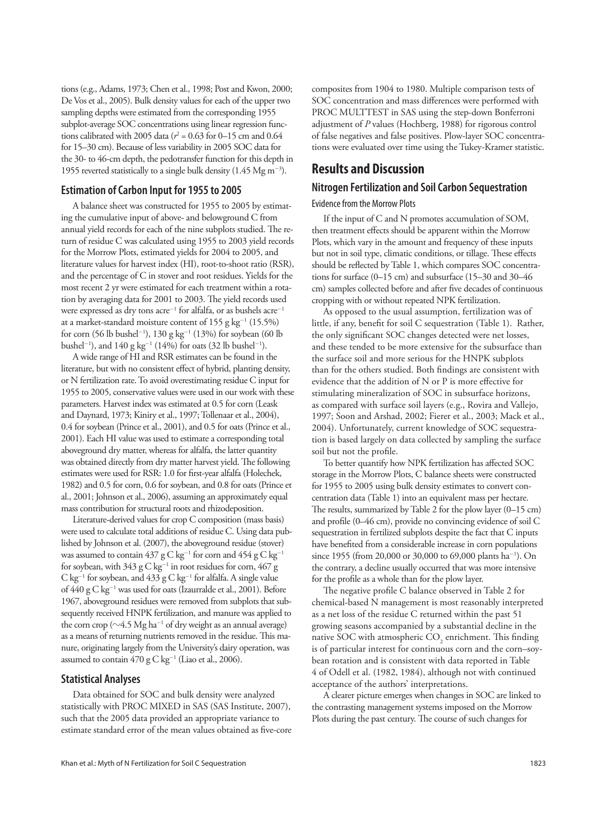tions (e.g., Adams, 1973; Chen et al., 1998; Post and Kwon, 2000; De Vos et al., 2005). Bulk density values for each of the upper two sampling depths were estimated from the corresponding 1955 subplot-average SOC concentrations using linear regression functions calibrated with 2005 data ( $r^2$  = 0.63 for 0–15 cm and 0.64 for 15–30 cm). Because of less variability in 2005 SOC data for the 30- to 46-cm depth, the pedotransfer function for this depth in 1955 reverted statistically to a single bulk density (1.45 Mg m<sup>-3</sup>).

## **Estimation of Carbon Input for 1955 to 2005**

A balance sheet was constructed for 1955 to 2005 by estimating the cumulative input of above- and belowground C from annual yield records for each of the nine subplots studied. The return of residue C was calculated using 1955 to 2003 yield records for the Morrow Plots, estimated yields for 2004 to 2005, and literature values for harvest index (HI), root-to-shoot ratio (RSR), and the percentage of C in stover and root residues. Yields for the most recent 2 yr were estimated for each treatment within a rotation by averaging data for 2001 to 2003. The yield records used were expressed as dry tons  $\arccos^{-1}$  for alfalfa, or as bushels  $\arccos^{-1}$ at a market-standard moisture content of  $155$  g kg<sup>-1</sup> (15.5%) for corn (56 lb bushel<sup>-1</sup>), 130 g kg<sup>-1</sup> (13%) for soybean (60 lb bushel<sup>-1</sup>), and  $140 \text{ g kg}^{-1}$  (14%) for oats (32 lb bushel<sup>-1</sup>).

A wide range of HI and RSR estimates can be found in the literature, but with no consistent effect of hybrid, planting density, or N fertilization rate. To avoid overestimating residue C input for 1955 to 2005, conservative values were used in our work with these parameters. Harvest index was estimated at 0.5 for corn (Leask and Daynard, 1973; Kiniry et al., 1997; Tollenaar et al., 2004), 0.4 for soybean (Prince et al., 2001), and 0.5 for oats (Prince et al., 2001). Each HI value was used to estimate a corresponding total aboveground dry matter, whereas for alfalfa, the latter quantity was obtained directly from dry matter harvest yield. The following estimates were used for RSR: 1.0 for first-year alfalfa (Holechek, 1982) and 0.5 for corn, 0.6 for soybean, and 0.8 for oats (Prince et al., 2001; Johnson et al., 2006), assuming an approximately equal mass contribution for structural roots and rhizodeposition.

Literature-derived values for crop C composition (mass basis) were used to calculate total additions of residue C. Using data published by Johnson et al. (2007), the aboveground residue (stover) was assumed to contain  $437~{\rm g} \, {\rm C} \, {\rm kg}^{-1}$  for corn and  $454~{\rm g} \, {\rm C} \, {\rm kg}^{-1}$ for soybean, with  $343 \text{ g C kg}^{-1}$  in root residues for corn,  $467 \text{ g}$  $C$  kg<sup>-1</sup> for soybean, and 433 g  $C$  kg<sup>-1</sup> for alfalfa. A single value of 440 g C kg<sup>-1</sup> was used for oats (Izaurralde et al., 2001). Before 1967, aboveground residues were removed from subplots that subsequently received HNPK fertilization, and manure was applied to the corn crop ( $\sim$ 4.5 Mg ha<sup>-1</sup> of dry weight as an annual average) as a means of returning nutrients removed in the residue. This manure, originating largely from the University's dairy operation, was assumed to contain  $470$  g C kg $^{-1}$  (Liao et al., 2006).

### **Statistical Analyses**

Data obtained for SOC and bulk density were analyzed statistically with PROC MIXED in SAS (SAS Institute, 2007), such that the 2005 data provided an appropriate variance to estimate standard error of the mean values obtained as five-core

composites from 1904 to 1980. Multiple comparison tests of SOC concentration and mass differences were performed with PROC MULTTEST in SAS using the step-down Bonferroni adjustment of *P* values (Hochberg, 1988) for rigorous control of false negatives and false positives. Plow-layer SOC concentrations were evaluated over time using the Tukey-Kramer statistic.

## **Results and Discussion**

#### **Nitrogen Fertilization and Soil Carbon Sequestration**

#### Evidence from the Morrow Plots

If the input of C and N promotes accumulation of SOM, then treatment effects should be apparent within the Morrow Plots, which vary in the amount and frequency of these inputs but not in soil type, climatic conditions, or tillage. These effects should be reflected by Table 1, which compares SOC concentrations for surface (0–15 cm) and subsurface (15–30 and 30–46 cm) samples collected before and after five decades of continuous cropping with or without repeated NPK fertilization.

As opposed to the usual assumption, fertilization was of little, if any, benefit for soil C sequestration (Table 1). Rather, the only significant SOC changes detected were net losses, and these tended to be more extensive for the subsurface than the surface soil and more serious for the HNPK subplots than for the others studied. Both findings are consistent with evidence that the addition of  $N$  or  $P$  is more effective for stimulating mineralization of SOC in subsurface horizons, as compared with surface soil layers (e.g., Rovira and Vallejo, 1997; Soon and Arshad, 2002; Fierer et al., 2003; Mack et al., 2004). Unfortunately, current knowledge of SOC sequestration is based largely on data collected by sampling the surface soil but not the profile.

To better quantify how NPK fertilization has affected SOC storage in the Morrow Plots, C balance sheets were constructed for 1955 to 2005 using bulk density estimates to convert concentration data (Table 1) into an equivalent mass per hectare. The results, summarized by Table 2 for the plow layer  $(0-15 \text{ cm})$ and profile  $(0-46 \text{ cm})$ , provide no convincing evidence of soil C sequestration in fertilized subplots despite the fact that C inputs have benefited from a considerable increase in corn populations since 1955 (from 20,000 or 30,000 to 69,000 plants ha<sup>-1</sup>). On the contrary, a decline usually occurred that was more intensive for the profile as a whole than for the plow layer.

The negative profile C balance observed in Table 2 for chemical-based N management is most reasonably interpreted as a net loss of the residue C returned within the past 51 growing seasons accompanied by a substantial decline in the native SOC with atmospheric  $\mathrm{CO}_2$  enrichment. This finding is of particular interest for continuous corn and the corn–soybean rotation and is consistent with data reported in Table 4 of Odell et al. (1982, 1984), although not with continued acceptance of the authors' interpretations.

A clearer picture emerges when changes in SOC are linked to the contrasting management systems imposed on the Morrow Plots during the past century. The course of such changes for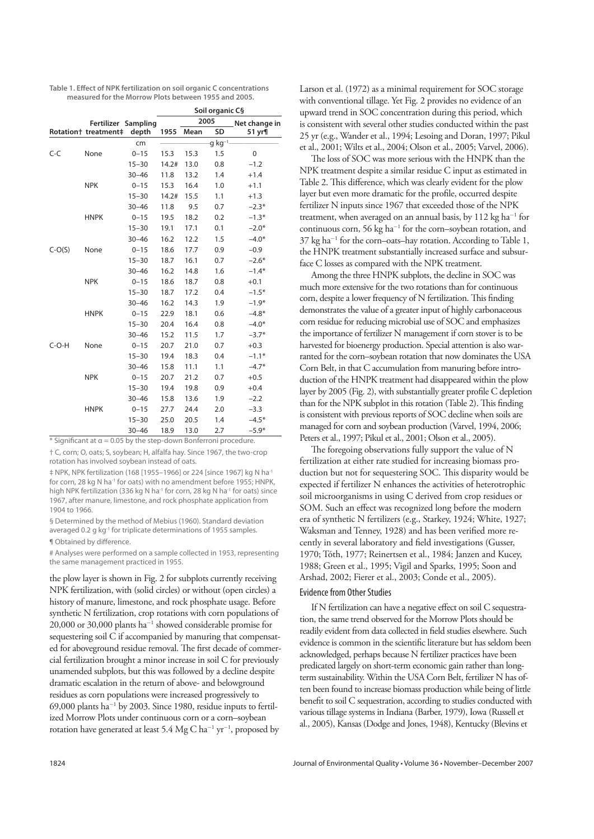Table 1. Effect of NPK fertilization on soil organic C concentrations **measured for the Morrow Plots between 1955 and 2005.**

|          |                      |           | Soil organic C§ |      |                      |             |  |  |
|----------|----------------------|-----------|-----------------|------|----------------------|-------------|--|--|
|          | Fertilizer Sampling  |           | 2005            |      | Net change in        |             |  |  |
|          | Rotation+ treatment‡ | depth     | 1955            | Mean | SD                   | 51 yr¶      |  |  |
|          |                      | cm        |                 |      | g kg <sup>-1</sup> - |             |  |  |
| $C-C$    | None                 | $0 - 15$  | 15.3            | 15.3 | 1.5                  | $\mathbf 0$ |  |  |
|          |                      | $15 - 30$ | 14.2#           | 13.0 | 0.8                  | $-1.2$      |  |  |
|          |                      | $30 - 46$ | 11.8            | 13.2 | 1.4                  | $+1.4$      |  |  |
|          | <b>NPK</b>           | $0 - 15$  | 15.3            | 16.4 | 1.0                  | $+1.1$      |  |  |
|          |                      | $15 - 30$ | 14.2#           | 15.5 | 1.1                  | $+1.3$      |  |  |
|          |                      | $30 - 46$ | 11.8            | 9.5  | 0.7                  | $-2.3*$     |  |  |
|          | <b>HNPK</b>          | $0 - 15$  | 19.5            | 18.2 | 0.2                  | $-1.3*$     |  |  |
|          |                      | $15 - 30$ | 19.1            | 17.1 | 0.1                  | $-2.0*$     |  |  |
|          |                      | $30 - 46$ | 16.2            | 12.2 | 1.5                  | $-4.0*$     |  |  |
| $C-O(S)$ | None                 | $0 - 15$  | 18.6            | 17.7 | 0.9                  | $-0.9$      |  |  |
|          |                      | $15 - 30$ | 18.7            | 16.1 | 0.7                  | $-2.6*$     |  |  |
|          |                      | $30 - 46$ | 16.2            | 14.8 | 1.6                  | $-1.4*$     |  |  |
|          | <b>NPK</b>           | $0 - 15$  | 18.6            | 18.7 | 0.8                  | $+0.1$      |  |  |
|          |                      | $15 - 30$ | 18.7            | 17.2 | 0.4                  | $-1.5*$     |  |  |
|          |                      | $30 - 46$ | 16.2            | 14.3 | 1.9                  | $-1.9*$     |  |  |
|          | <b>HNPK</b>          | $0 - 15$  | 22.9            | 18.1 | 0.6                  | $-4.8*$     |  |  |
|          |                      | $15 - 30$ | 20.4            | 16.4 | 0.8                  | $-4.0*$     |  |  |
|          |                      | $30 - 46$ | 15.2            | 11.5 | 1.7                  | $-3.7*$     |  |  |
| $C-O-H$  | None                 | $0 - 15$  | 20.7            | 21.0 | 0.7                  | $+0.3$      |  |  |
|          |                      | $15 - 30$ | 19.4            | 18.3 | 0.4                  | $-1.1*$     |  |  |
|          |                      | $30 - 46$ | 15.8            | 11.1 | 1.1                  | $-4.7*$     |  |  |
|          | <b>NPK</b>           | $0 - 15$  | 20.7            | 21.2 | 0.7                  | $+0.5$      |  |  |
|          |                      | $15 - 30$ | 19.4            | 19.8 | 0.9                  | $+0.4$      |  |  |
|          |                      | $30 - 46$ | 15.8            | 13.6 | 1.9                  | $-2.2$      |  |  |
|          | <b>HNPK</b>          | $0 - 15$  | 27.7            | 24.4 | 2.0                  | $-3.3$      |  |  |
|          |                      | $15 - 30$ | 25.0            | 20.5 | 1.4                  | $-4.5*$     |  |  |
|          |                      | $30 - 46$ | 18.9            | 13.0 | 2.7                  | $-5.9*$     |  |  |

 $*$  Significant at  $\alpha$  = 0.05 by the step-down Bonferroni procedure.

† C, corn; O, oats; S, soybean; H, alfalfa hay. Since 1967, the two-crop rotation has involved soybean instead of oats.

‡ NPK, NPK fertilization (168 [1955–1966] or 224 [since 1967] kg N ha-1 for corn, 28 kg N ha<sup>-1</sup> for oats) with no amendment before 1955; HNPK, high NPK fertilization (336 kg N ha<sup>-1</sup> for corn, 28 kg N ha<sup>-1</sup> for oats) since 1967, after manure, limestone, and rock phosphate application from 1904 to 1966.

§ Determined by the method of Mebius (1960). Standard deviation averaged 0.2 g kg<sup>-1</sup> for triplicate determinations of 1955 samples. **¶ Obtained by difference.** 

# Analyses were performed on a sample collected in 1953, representing the same management practiced in 1955.

the plow layer is shown in Fig. 2 for subplots currently receiving NPK fertilization, with (solid circles) or without (open circles) a history of manure, limestone, and rock phosphate usage. Before synthetic N fertilization, crop rotations with corn populations of 20,000 or 30,000 plants ha-1 showed considerable promise for sequestering soil C if accompanied by manuring that compensated for aboveground residue removal. The first decade of commercial fertilization brought a minor increase in soil C for previously unamended subplots, but this was followed by a decline despite dramatic escalation in the return of above- and belowground residues as corn populations were increased progressively to  $69,000$  plants ha<sup>-1</sup> by 2003. Since 1980, residue inputs to fertilized Morrow Plots under continuous corn or a corn–soybean rotation have generated at least 5.4  $MgC$  ha<sup>-1</sup> yr<sup>-1</sup>, proposed by

Larson et al. (1972) as a minimal requirement for SOC storage with conventional tillage. Yet Fig. 2 provides no evidence of an upward trend in SOC concentration during this period, which is consistent with several other studies conducted within the past 25 yr (e.g., Wander et al., 1994; Lesoing and Doran, 1997; Pikul et al., 2001; Wilts et al., 2004; Olson et al., 2005; Varvel, 2006).

The loss of SOC was more serious with the HNPK than the NPK treatment despite a similar residue C input as estimated in Table 2. This difference, which was clearly evident for the plow layer but even more dramatic for the profile, occurred despite fertilizer N inputs since 1967 that exceeded those of the NPK treatment, when averaged on an annual basis, by  $112 \text{ kg ha}^{-1}$  for continuous corn, 56 kg ha-1 for the corn–soybean rotation, and 37 kg ha-1 for the corn–oats–hay rotation. According to Table 1, the HNPK treatment substantially increased surface and subsurface C losses as compared with the NPK treatment.

Among the three HNPK subplots, the decline in SOC was much more extensive for the two rotations than for continuous corn, despite a lower frequency of N fertilization. This finding demonstrates the value of a greater input of highly carbonaceous corn residue for reducing microbial use of SOC and emphasizes the importance of fertilizer N management if corn stover is to be harvested for bioenergy production. Special attention is also warranted for the corn–soybean rotation that now dominates the USA Corn Belt, in that C accumulation from manuring before introduction of the HNPK treatment had disappeared within the plow layer by 2005 (Fig. 2), with substantially greater profile  $C$  depletion than for the NPK subplot in this rotation (Table 2). This finding is consistent with previous reports of SOC decline when soils are managed for corn and soybean production (Varvel, 1994, 2006; Peters et al., 1997; Pikul et al., 2001; Olson et al., 2005).

The foregoing observations fully support the value of N fertilization at either rate studied for increasing biomass production but not for sequestering SOC. This disparity would be expected if fertilizer N enhances the activities of heterotrophic soil microorganisms in using C derived from crop residues or SOM. Such an effect was recognized long before the modern era of synthetic N fertilizers (e.g., Starkey, 1924; White, 1927; Waksman and Tenney, 1928) and has been verified more recently in several laboratory and field investigations (Gusser, 1970; Tóth, 1977; Reinertsen et al., 1984; Janzen and Kucey, 1988; Green et al., 1995; Vigil and Sparks, 1995; Soon and Arshad, 2002; Fierer et al., 2003; Conde et al., 2005).

#### Evidence from Other Studies

If N fertilization can have a negative effect on soil C sequestration, the same trend observed for the Morrow Plots should be readily evident from data collected in field studies elsewhere. Such evidence is common in the scientific literature but has seldom been acknowledged, perhaps because N fertilizer practices have been predicated largely on short-term economic gain rather than longterm sustainability. Within the USA Corn Belt, fertilizer N has often been found to increase biomass production while being of little benefit to soil C sequestration, according to studies conducted with various tillage systems in Indiana (Barber, 1979), Iowa (Russell et al., 2005), Kansas (Dodge and Jones, 1948), Kentucky (Blevins et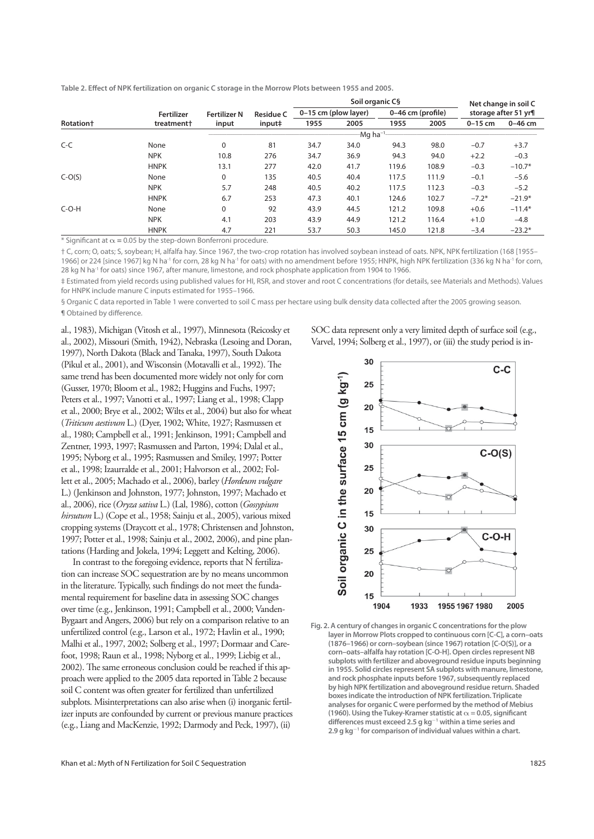|                  |                        |                     |                  | Soil organic C§ |                      |       |                   | Net change in soil C |                      |
|------------------|------------------------|---------------------|------------------|-----------------|----------------------|-------|-------------------|----------------------|----------------------|
|                  | Fertilizer             | <b>Fertilizer N</b> | <b>Residue C</b> |                 | 0-15 cm (plow layer) |       | 0-46 cm (profile) |                      | storage after 51 yr¶ |
| <b>Rotation+</b> | treatment <sup>+</sup> | input               | input‡           | 1955            | 2005                 | 1955  | 2005              | $0-15$ cm            | $0-46$ cm            |
|                  |                        |                     |                  |                 | $-Mq$ ha $^{-1}$     |       |                   |                      |                      |
| $C-C$            | None                   | $\mathbf 0$         | 81               | 34.7            | 34.0                 | 94.3  | 98.0              | $-0.7$               | $+3.7$               |
|                  | <b>NPK</b>             | 10.8                | 276              | 34.7            | 36.9                 | 94.3  | 94.0              | $+2.2$               | $-0.3$               |
|                  | <b>HNPK</b>            | 13.1                | 277              | 42.0            | 41.7                 | 119.6 | 108.9             | $-0.3$               | $-10.7*$             |
| $C-O(S)$         | None                   | $\mathbf 0$         | 135              | 40.5            | 40.4                 | 117.5 | 111.9             | $-0.1$               | $-5.6$               |
|                  | <b>NPK</b>             | 5.7                 | 248              | 40.5            | 40.2                 | 117.5 | 112.3             | $-0.3$               | $-5.2$               |
|                  | <b>HNPK</b>            | 6.7                 | 253              | 47.3            | 40.1                 | 124.6 | 102.7             | $-7.2*$              | $-21.9*$             |
| $C-O-H$          | None                   | $\mathbf 0$         | 92               | 43.9            | 44.5                 | 121.2 | 109.8             | $+0.6$               | $-11.4*$             |
|                  | <b>NPK</b>             | 4.1                 | 203              | 43.9            | 44.9                 | 121.2 | 116.4             | $+1.0$               | $-4.8$               |
|                  | <b>HNPK</b>            | 4.7                 | 221              | 53.7            | 50.3                 | 145.0 | 121.8             | $-3.4$               | $-23.2*$             |

Table 2. Effect of NPK fertilization on organic C storage in the Morrow Plots between 1955 and 2005.

 $*$  Significant at  $\alpha$  = 0.05 by the step-down Bonferroni procedure.

† C, corn; O, oats; S, soybean; H, alfalfa hay. Since 1967, the two-crop rotation has involved soybean instead of oats. NPK, NPK fertilization (168 [1955– 1966] or 224 [since 1967] kg N ha<sup>-1</sup> for corn, 28 kg N ha<sup>-1</sup> for oats) with no amendment before 1955; HNPK, high NPK fertilization (336 kg N ha<sup>-1</sup> for corn, 28 kg N ha<sup>-1</sup> for oats) since 1967, after manure, limestone, and rock phosphate application from 1904 to 1966.

‡ Estimated from yield records using published values for HI, RSR, and stover and root C concentrations (for details, see Materials and Methods). Values for HNPK include manure C inputs estimated for 1955–1966.

§ Organic C data reported in Table 1 were converted to soil C mass per hectare using bulk density data collected after the 2005 growing season. *¶* Obtained by difference.

al., 1983), Michigan (Vitosh et al., 1997), Minnesota (Reicosky et al., 2002), Missouri (Smith, 1942), Nebraska (Lesoing and Doran, 1997), North Dakota (Black and Tanaka, 1997), South Dakota (Pikul et al., 2001), and Wisconsin (Motavalli et al., 1992). The same trend has been documented more widely not only for corn (Gusser, 1970; Bloom et al., 1982; Huggins and Fuchs, 1997; Peters et al., 1997; Vanotti et al., 1997; Liang et al., 1998; Clapp et al., 2000; Brye et al., 2002; Wilts et al., 2004) but also for wheat (*Triticum aestivum* L.) (Dyer, 1902; White, 1927; Rasmussen et al., 1980; Campbell et al., 1991; Jenkinson, 1991; Campbell and Zentner, 1993, 1997; Rasmussen and Parton, 1994; Dalal et al., 1995; Nyborg et al., 1995; Rasmussen and Smiley, 1997; Potter et al., 1998; Izaurralde et al., 2001; Halvorson et al., 2002; Follett et al., 2005; Machado et al., 2006), barley (*Hordeum vulgare* L.) (Jenkinson and Johnston, 1977; Johnston, 1997; Machado et al., 2006), rice (*Oryza sativa* L.) (Lal, 1986), cotton (*Gossypium hirsutum* L.) (Cope et al., 1958; Sainju et al., 2005), various mixed cropping systems (Draycott et al., 1978; Christensen and Johnston, 1997; Potter et al., 1998; Sainju et al., 2002, 2006), and pine plantations (Harding and Jokela, 1994; Leggett and Kelting, 2006).

In contrast to the foregoing evidence, reports that N fertilization can increase SOC sequestration are by no means uncommon in the literature. Typically, such findings do not meet the fundamental requirement for baseline data in assessing SOC changes over time (e.g., Jenkinson, 1991; Campbell et al., 2000; Vanden-Bygaart and Angers, 2006) but rely on a comparison relative to an unfertilized control (e.g., Larson et al., 1972; Havlin et al., 1990; Malhi et al., 1997, 2002; Solberg et al., 1997; Dormaar and Carefoot, 1998; Raun et al., 1998; Nyborg et al., 1999; Liebig et al., 2002). The same erroneous conclusion could be reached if this approach were applied to the 2005 data reported in Table 2 because soil C content was often greater for fertilized than unfertilized subplots. Misinterpretations can also arise when (i) inorganic fertilizer inputs are confounded by current or previous manure practices (e.g., Liang and MacKenzie, 1992; Darmody and Peck, 1997), (ii)

SOC data represent only a very limited depth of surface soil (e.g., Varvel, 1994; Solberg et al., 1997), or (iii) the study period is in-



**Fig. 2. A century of changes in organic C concentrations for the plow layer in Morrow Plots cropped to continuous corn [C-C], a corn–oats (1876–1966) or corn–soybean (since 1967) rotation [C-O(S)], or a corn–oats–alfalfa hay rotation [C-O-H]. Open circles represent NB subplots with fertilizer and aboveground residue inputs beginning in 1955. Solid circles represent SA subplots with manure, limestone, and rock phosphate inputs before 1967, subsequently replaced by high NPK fertilization and aboveground residue return. Shaded boxes indicate the introduction of NPK fertilization. Triplicate analyses for organic C were performed by the method of Mebius**  (1960). Using the Tukey-Kramer statistic at  $\alpha$  = 0.05, significant differences must exceed 2.5 g kg<sup>-1</sup> within a time series and **2.9 g kg-1 for comparison of individual values within a chart.**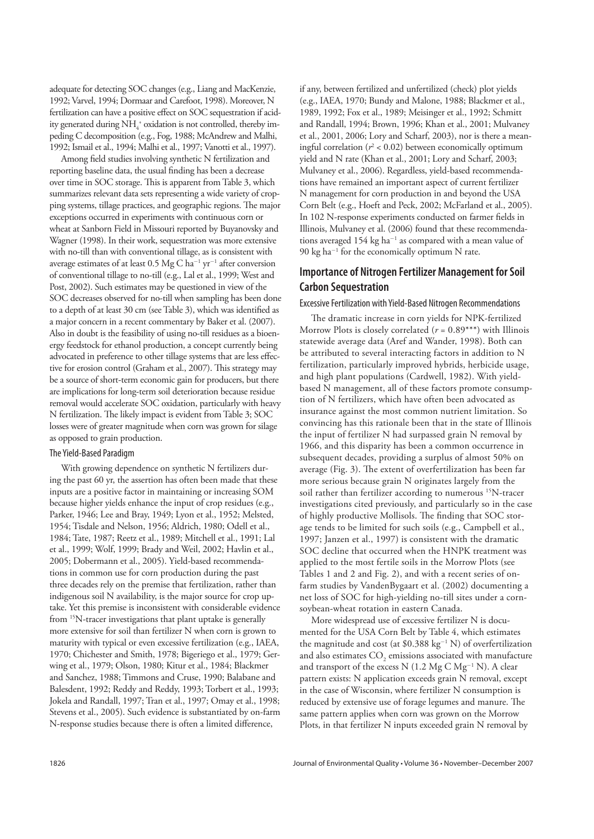adequate for detecting SOC changes (e.g., Liang and MacKenzie, 1992; Varvel, 1994; Dormaar and Carefoot, 1998). Moreover, N fertilization can have a positive effect on SOC sequestration if acidity generated during  $\mathrm{NH}_4^+$  oxidation is not controlled, thereby impeding C decomposition (e.g., Fog, 1988; McAndrew and Malhi, 1992; Ismail et al., 1994; Malhi et al., 1997; Vanotti et al., 1997).

Among field studies involving synthetic N fertilization and reporting baseline data, the usual finding has been a decrease over time in SOC storage. This is apparent from Table 3, which summarizes relevant data sets representing a wide variety of cropping systems, tillage practices, and geographic regions. The major exceptions occurred in experiments with continuous corn or wheat at Sanborn Field in Missouri reported by Buyanovsky and Wagner (1998). In their work, sequestration was more extensive with no-till than with conventional tillage, as is consistent with average estimates of at least  $0.5 \text{ Mg C} \, \text{ha}^{-1} \, \text{yr}^{-1}$  after conversion of conventional tillage to no-till (e.g., Lal et al., 1999; West and Post, 2002). Such estimates may be questioned in view of the SOC decreases observed for no-till when sampling has been done to a depth of at least 30 cm (see Table 3), which was identified as a major concern in a recent commentary by Baker et al. (2007). Also in doubt is the feasibility of using no-till residues as a bioenergy feedstock for ethanol production, a concept currently being advocated in preference to other tillage systems that are less effective for erosion control (Graham et al., 2007). This strategy may be a source of short-term economic gain for producers, but there are implications for long-term soil deterioration because residue removal would accelerate SOC oxidation, particularly with heavy N fertilization. The likely impact is evident from Table 3; SOC losses were of greater magnitude when corn was grown for silage as opposed to grain production.

#### The Yield-Based Paradigm

With growing dependence on synthetic N fertilizers during the past 60 yr, the assertion has often been made that these inputs are a positive factor in maintaining or increasing SOM because higher yields enhance the input of crop residues (e.g., Parker, 1946; Lee and Bray, 1949; Lyon et al., 1952; Melsted, 1954; Tisdale and Nelson, 1956; Aldrich, 1980; Odell et al., 1984; Tate, 1987; Reetz et al., 1989; Mitchell et al., 1991; Lal et al., 1999; Wolf, 1999; Brady and Weil, 2002; Havlin et al., 2005; Dobermann et al., 2005). Yield-based recommendations in common use for corn production during the past three decades rely on the premise that fertilization, rather than indigenous soil N availability, is the major source for crop uptake. Yet this premise is inconsistent with considerable evidence from 15N-tracer investigations that plant uptake is generally more extensive for soil than fertilizer N when corn is grown to maturity with typical or even excessive fertilization (e.g., IAEA, 1970; Chichester and Smith, 1978; Bigeriego et al., 1979; Gerwing et al., 1979; Olson, 1980; Kitur et al., 1984; Blackmer and Sanchez, 1988; Timmons and Cruse, 1990; Balabane and Balesdent, 1992; Reddy and Reddy, 1993; Torbert et al., 1993; Jokela and Randall, 1997; Tran et al., 1997; Omay et al., 1998; Stevens et al., 2005). Such evidence is substantiated by on-farm N-response studies because there is often a limited difference,

if any, between fertilized and unfertilized (check) plot yields (e.g., IAEA, 1970; Bundy and Malone, 1988; Blackmer et al., 1989, 1992; Fox et al., 1989; Meisinger et al., 1992; Schmitt and Randall, 1994; Brown, 1996; Khan et al., 2001; Mulvaney et al., 2001, 2006; Lory and Scharf, 2003), nor is there a meaningful correlation ( $r^2$  < 0.02) between economically optimum yield and N rate (Khan et al., 2001; Lory and Scharf, 2003; Mulvaney et al., 2006). Regardless, yield-based recommendations have remained an important aspect of current fertilizer N management for corn production in and beyond the USA Corn Belt (e.g., Hoeft and Peck, 2002; McFarland et al., 2005). In 102 N-response experiments conducted on farmer fields in Illinois, Mulvaney et al. (2006) found that these recommendations averaged 154 kg ha<sup>-1</sup> as compared with a mean value of 90 kg ha<sup>-1</sup> for the economically optimum N rate.

## **Importance of Nitrogen Fertilizer Management for Soil Carbon Sequestration**

## Excessive Fertilization with Yield-Based Nitrogen Recommendations

The dramatic increase in corn yields for NPK-fertilized Morrow Plots is closely correlated  $(r = 0.89***)$  with Illinois statewide average data (Aref and Wander, 1998). Both can be attributed to several interacting factors in addition to N fertilization, particularly improved hybrids, herbicide usage, and high plant populations (Cardwell, 1982). With yieldbased N management, all of these factors promote consumption of N fertilizers, which have often been advocated as insurance against the most common nutrient limitation. So convincing has this rationale been that in the state of Illinois the input of fertilizer N had surpassed grain N removal by 1966, and this disparity has been a common occurrence in subsequent decades, providing a surplus of almost 50% on average (Fig. 3). The extent of overfertilization has been far more serious because grain N originates largely from the soil rather than fertilizer according to numerous <sup>15</sup>N-tracer investigations cited previously, and particularly so in the case of highly productive Mollisols. The finding that SOC storage tends to be limited for such soils (e.g., Campbell et al., 1997; Janzen et al., 1997) is consistent with the dramatic SOC decline that occurred when the HNPK treatment was applied to the most fertile soils in the Morrow Plots (see Tables 1 and 2 and Fig. 2), and with a recent series of onfarm studies by VandenBygaart et al. (2002) documenting a net loss of SOC for high-yielding no-till sites under a cornsoybean-wheat rotation in eastern Canada.

More widespread use of excessive fertilizer N is documented for the USA Corn Belt by Table 4, which estimates the magnitude and cost (at  $$0.388 \text{ kg}^{-1}$  N) of overfertilization and also estimates  $\mathrm{CO}_2$  emissions associated with manufacture and transport of the excess N  $(1.2 \text{ Mg C Mg}^{-1} \text{ N})$ . A clear pattern exists: N application exceeds grain N removal, except in the case of Wisconsin, where fertilizer N consumption is reduced by extensive use of forage legumes and manure. The same pattern applies when corn was grown on the Morrow Plots, in that fertilizer N inputs exceeded grain N removal by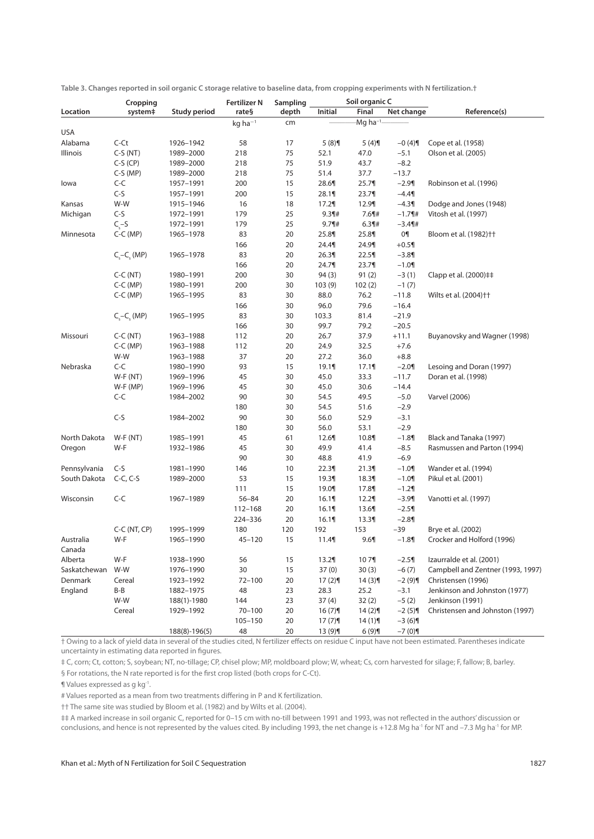|                     | Cropping           |                     | <b>Fertilizer N</b>   | Sampling |           | Soil organic C       |            |                                   |
|---------------------|--------------------|---------------------|-----------------------|----------|-----------|----------------------|------------|-----------------------------------|
| Location            | system‡            | <b>Study period</b> | rate§                 | depth    | Initial   | Final                | Net change | Reference(s)                      |
|                     |                    |                     | $kq$ ha <sup>-1</sup> | cm       |           | -Mg ha <sup>-1</sup> |            |                                   |
| <b>USA</b>          |                    |                     |                       |          |           |                      |            |                                   |
| Alabama             | $C-Ct$             | 1926-1942           | 58                    | 17       | 5(8)      | 5(4)                 | $-0(4)$    | Cope et al. (1958)                |
| Illinois            | $C-S(NT)$          | 1989-2000           | 218                   | 75       | 52.1      | 47.0                 | $-5.1$     | Olson et al. (2005)               |
|                     | $C-S(CP)$          | 1989-2000           | 218                   | 75       | 51.9      | 43.7                 | $-8.2$     |                                   |
|                     | $C-S(MP)$          | 1989-2000           | 218                   | 75       | 51.4      | 37.7                 | $-13.7$    |                                   |
| lowa                | $C-C$              | 1957-1991           | 200                   | 15       | 28.6¶     | 25.7                 | $-2.9$     | Robinson et al. (1996)            |
|                     | $C-S$              | 1957-1991           | 200                   | 15       | 28.1¶     | 23.7                 | $-4.4$     |                                   |
| Kansas              | W-W                | 1915-1946           | 16                    | 18       | 17.2      | 12.9¶                | $-4.3$     | Dodge and Jones (1948)            |
| Michigan            | $C-S$              | 1972-1991           | 179                   | 25       | $9.3$ 1#  | $7.6$ ¶#             | $-1.7$ ¶#  | Vitosh et al. (1997)              |
|                     | $C_{c}$ -S         | 1972-1991           | 179                   | 25       | $9.7$ 1#  | $6.3$ 1#             | $-3.4$     |                                   |
| Minnesota           | $C-C$ (MP)         | 1965-1978           | 83                    | 20       | 25.8¶     | 25.8¶                | 0¶         | Bloom et al. (1982) <sup>++</sup> |
|                     |                    |                     | 166                   | 20       | 24.4¶     | 24.9¶                | $+0.5$     |                                   |
|                     | $Cs-Cs$ (MP)       | 1965-1978           | 83                    | 20       | 26.3¶     | 22.5                 | $-3.8$     |                                   |
|                     |                    |                     | 166                   | 20       | 24.7¶     | 23.7                 | $-1.0$     |                                   |
|                     | $C-C(NT)$          | 1980-1991           | 200                   | 30       | 94(3)     | 91(2)                | $-3(1)$    | Clapp et al. (2000)##             |
|                     | $C-C$ (MP)         | 1980-1991           | 200                   | 30       | 103(9)    | 102(2)               | $-1(7)$    |                                   |
|                     | $C-C$ (MP)         | 1965-1995           | 83                    | 30       | 88.0      | 76.2                 | $-11.8$    | Wilts et al. (2004)++             |
|                     |                    |                     | 166                   | 30       | 96.0      | 79.6                 | $-16.4$    |                                   |
|                     | $C_{s}-C_{s}$ (MP) | 1965-1995           | 83                    | 30       | 103.3     | 81.4                 | $-21.9$    |                                   |
|                     |                    |                     | 166                   | 30       | 99.7      | 79.2                 | $-20.5$    |                                   |
| Missouri            | $C-C(NT)$          | 1963-1988           | 112                   | 20       | 26.7      | 37.9                 | $+11.1$    | Buyanovsky and Wagner (1998)      |
|                     | $C-C$ (MP)         | 1963-1988           | 112                   | 20       | 24.9      | 32.5                 | $+7.6$     |                                   |
|                     | W-W                | 1963-1988           | 37                    | 20       | 27.2      | 36.0                 | $+8.8$     |                                   |
| Nebraska            | $C-C$              | 1980-1990           | 93                    | 15       | 19.1¶     | 17.1                 | $-2.0$     | Lesoing and Doran (1997)          |
|                     | $W-F(NT)$          | 1969-1996           | 45                    | 30       | 45.0      | 33.3                 | $-11.7$    | Doran et al. (1998)               |
|                     | $W-F(MP)$          | 1969-1996           | 45                    | 30       | 45.0      | 30.6                 | $-14.4$    |                                   |
|                     | $C-C$              | 1984-2002           | 90                    | 30       | 54.5      | 49.5                 | $-5.0$     | <b>Varvel (2006)</b>              |
|                     |                    |                     | 180                   | 30       | 54.5      | 51.6                 | $-2.9$     |                                   |
|                     | $C-S$              | 1984-2002           | 90                    | 30       | 56.0      | 52.9                 | $-3.1$     |                                   |
|                     |                    |                     | 180                   | 30       | 56.0      | 53.1                 | $-2.9$     |                                   |
| North Dakota        | $W-F(NT)$          | 1985-1991           | 45                    | 61       | 12.6¶     | 10.8¶                | $-1.8$     | Black and Tanaka (1997)           |
| Oregon              | W-F                | 1932-1986           | 45                    | 30       | 49.9      | 41.4                 | $-8.5$     | Rasmussen and Parton (1994)       |
|                     |                    |                     | 90                    |          | 48.8      |                      | $-6.9$     |                                   |
|                     | $C-S$              |                     |                       | 30       |           | 41.9                 |            |                                   |
| Pennsylvania        |                    | 1981-1990           | 146                   | 10       | 22.3¶     | 21.3                 | $-1.0$     | Wander et al. (1994)              |
| South Dakota        | $C-C, C-S$         | 1989-2000           | 53                    | 15       | 19.3¶     | 18.3¶                | $-1.0$     | Pikul et al. (2001)               |
|                     |                    |                     | 111                   | 15       | 19.0¶     | 17.8¶                | $-1.29$    |                                   |
| Wisconsin           | $C-C$              | 1967-1989           | $56 - 84$             | 20       | 16.1      | 12.2                 | $-3.9$     | Vanotti et al. (1997)             |
|                     |                    |                     | 112-168               | 20       | 16.1      | 13.6¶                | $-2.5$     |                                   |
|                     |                    |                     | 224-336               | 20       | 16.1      | 13.3                 | $-2.8$     |                                   |
|                     | $C-C(NT, CP)$      | 1995-1999           | 180                   | 120      | 192       | 153                  | $-39$      | Brye et al. (2002)                |
| Australia<br>Canada | W-F                | 1965-1990           | $45 - 120$            | 15       | 11.4      | 9.6                  | $-1.8$     | Crocker and Holford (1996)        |
| Alberta             | W-F                | 1938-1990           | 56                    | 15       | 13.2      | 107¶                 | $-2.5$     | Izaurralde et al. (2001)          |
| Saskatchewan        | W-W                | 1976-1990           | 30                    | 15       | 37(0)     | 30(3)                | $-6(7)$    | Campbell and Zentner (1993, 1997) |
| Denmark             | Cereal             | 1923-1992           | $72 - 100$            | 20       | 17(2)     | 14(3)                | $-2(9)$ ¶  | Christensen (1996)                |
| England             | B-B                | 1882-1975           | 48                    | 23       | 28.3      | 25.2                 | $-3.1$     | Jenkinson and Johnston (1977)     |
|                     | W-W                | 188(1)-1980         | 144                   | 23       | 37(4)     | 32(2)                | $-5(2)$    | Jenkinson (1991)                  |
|                     | Cereal             | 1929-1992           | $70 - 100$            | 20       | 16(7)     | 14(2)                | $-2(5)$ ¶  | Christensen and Johnston (1997)   |
|                     |                    |                     | $105 - 150$           | 20       | $17(7)$ ¶ | $14(1)$ ¶            | $-3(6)$ ¶  |                                   |
|                     |                    | $188(8)-196(5)$     | 48                    | 20       | 13 (9)    | 6(9)                 | $-7(0)$ ¶  |                                   |

**Table 3. Changes reported in soil organic C storage relative to baseline data, from cropping experiments with N fertilization.†**

† Owing to a lack of yield data in several of the studies cited, N fertilizer eff ects on residue C input have not been estimated. Parentheses indicate uncertainty in estimating data reported in figures.

‡ C, corn; Ct, cotton; S, soybean; NT, no-tillage; CP, chisel plow; MP, moldboard plow; W, wheat; Cs, corn harvested for silage; F, fallow; B, barley.

§ For rotations, the N rate reported is for the first crop listed (both crops for C-Ct).

¶ Values expressed as g kg-1.

# Values reported as a mean from two treatments differing in P and K fertilization.

†† The same site was studied by Bloom et al. (1982) and by Wilts et al. (2004).

## A marked increase in soil organic C, reported for 0-15 cm with no-till between 1991 and 1993, was not reflected in the authors' discussion or conclusions, and hence is not represented by the values cited. By including 1993, the net change is +12.8 Mg ha<sup>-1</sup> for NT and -7.3 Mg ha<sup>-1</sup> for NT and ha<sup>-1</sup> for MP.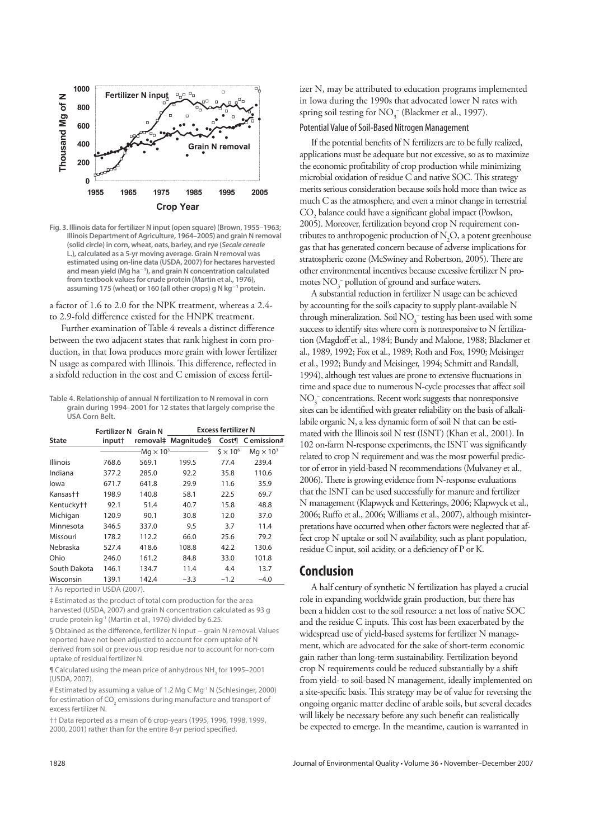

**Fig. 3. Illinois data for fertilizer N input (open square) (Brown, 1955–1963; Illinois Department of Agriculture, 1964–2005) and grain N removal (solid circle) in corn, wheat, oats, barley, and rye (***Secale cereale* **L.), calculated as a 5-yr moving average. Grain N removal was estimated using on-line data (USDA, 2007) for hectares harvested and mean yield (Mg ha-1 ), and grain N concentration calculated from textbook values for crude protein (Martin et al., 1976), assuming 175 (wheat) or 160 (all other crops) g N kg-<sup>1</sup> protein.**

a factor of 1.6 to 2.0 for the NPK treatment, whereas a 2.4 to 2.9-fold difference existed for the HNPK treatment.

Further examination of Table 4 reveals a distinct difference between the two adjacent states that rank highest in corn production, in that Iowa produces more grain with lower fertilizer N usage as compared with Illinois. This difference, reflected in a sixfold reduction in the cost and C emission of excess fertil-

**Table 4. Relationship of annual N fertilization to N removal in corn grain during 1994–2001 for 12 states that largely comprise the USA Corn Belt.**

|                        | Fertilizer N | <b>Grain N</b>      | <b>Excess fertilizer N</b> |                 |                  |  |  |
|------------------------|--------------|---------------------|----------------------------|-----------------|------------------|--|--|
| <b>State</b>           | input†       |                     | removal‡ Magnitude§        |                 | Cost¶ Cemission# |  |  |
|                        |              | $-Mq \times 10^{3}$ |                            | $5 \times 10^6$ | $Mq \times 10^3$ |  |  |
| <b>Illinois</b>        | 768.6        | 569.1               | 199.5                      | 77.4            | 239.4            |  |  |
| Indiana                | 377.2        | 285.0               | 92.2                       | 35.8            | 110.6            |  |  |
| lowa                   | 671.7        | 641.8               | 29.9                       | 11.6            | 35.9             |  |  |
| Kansas††               | 198.9        | 140.8               | 58.1                       | 22.5            | 69.7             |  |  |
| Kentucky <sup>++</sup> | 92.1         | 51.4                | 40.7                       | 15.8            | 48.8             |  |  |
| Michigan               | 120.9        | 90.1                | 30.8                       | 12.0            | 37.0             |  |  |
| Minnesota              | 346.5        | 337.0               | 9.5                        | 3.7             | 11.4             |  |  |
| Missouri               | 178.2        | 112.2               | 66.0                       | 25.6            | 79.2             |  |  |
| Nebraska               | 527.4        | 418.6               | 108.8                      | 42.2            | 130.6            |  |  |
| Ohio                   | 246.0        | 161.2               | 84.8                       | 33.0            | 101.8            |  |  |
| South Dakota           | 146.1        | 134.7               | 11.4                       | 4.4             | 13.7             |  |  |
| Wisconsin              | 139.1        | 142.4               | $-3.3$                     | $-1.2$          | $-4.0$           |  |  |

† As reported in USDA (2007).

‡ Estimated as the product of total corn production for the area harvested (USDA, 2007) and grain N concentration calculated as 93 g crude protein kg<sup>-1</sup> (Martin et al., 1976) divided by 6.25

§ Obtained as the difference, fertilizer N input - grain N removal. Values reported have not been adjusted to account for corn uptake of N derived from soil or previous crop residue nor to account for non-corn uptake of residual fertilizer N.

 $\P$  Calculated using the mean price of anhydrous NH<sub>3</sub> for 1995–2001 (USDA, 2007).

# Estimated by assuming a value of 1.2 Mg C Mg<sup>-1</sup> N (Schlesinger, 2000) for estimation of CO $_{_2}$  emissions during manufacture and transport of excess fertilizer N.

†† Data reported as a mean of 6 crop-years (1995, 1996, 1998, 1999, 2000, 2001) rather than for the entire 8-yr period specified.

izer N, may be attributed to education programs implemented in Iowa during the 1990s that advocated lower N rates with spring soil testing for  $NO_3^-$  (Blackmer et al., 1997).

#### Potential Value of Soil-Based Nitrogen Management

If the potential benefits of N fertilizers are to be fully realized, applications must be adequate but not excessive, so as to maximize the economic profitability of crop production while minimizing microbial oxidation of residue C and native SOC. This strategy merits serious consideration because soils hold more than twice as much C as the atmosphere, and even a minor change in terrestrial  $\mathrm{CO}_2$  balance could have a significant global impact (Powlson, 2005). Moreover, fertilization beyond crop N requirement contributes to anthropogenic production of  $N_2O$ , a potent greenhouse gas that has generated concern because of adverse implications for stratospheric ozone (McSwiney and Robertson, 2005). There are other environmental incentives because excessive fertilizer N promotes  $NO_3^-$  pollution of ground and surface waters.

A substantial reduction in fertilizer N usage can be achieved by accounting for the soil's capacity to supply plant-available N through mineralization. Soil  $\mathrm{NO_3^-}$  testing has been used with some success to identify sites where corn is nonresponsive to N fertilization (Magdoff et al., 1984; Bundy and Malone, 1988; Blackmer et al., 1989, 1992; Fox et al., 1989; Roth and Fox, 1990; Meisinger et al., 1992; Bundy and Meisinger, 1994; Schmitt and Randall, 1994), although test values are prone to extensive fluctuations in time and space due to numerous N-cycle processes that affect soil  $\mathrm{NO}_3^-$  concentrations. Recent work suggests that nonresponsive sites can be identified with greater reliability on the basis of alkalilabile organic N, a less dynamic form of soil N that can be estimated with the Illinois soil N test (ISNT) (Khan et al., 2001). In 102 on-farm N-response experiments, the ISNT was significantly related to crop N requirement and was the most powerful predictor of error in yield-based N recommendations (Mulvaney et al., 2006). There is growing evidence from N-response evaluations that the ISNT can be used successfully for manure and fertilizer N management (Klapwyck and Ketterings, 2006; Klapwyck et al., 2006; Ruffo et al., 2006; Williams et al., 2007), although misinterpretations have occurred when other factors were neglected that affect crop N uptake or soil N availability, such as plant population, residue C input, soil acidity, or a deficiency of P or K.

## **Conclusion**

A half century of synthetic N fertilization has played a crucial role in expanding worldwide grain production, but there has been a hidden cost to the soil resource: a net loss of native SOC and the residue C inputs. This cost has been exacerbated by the widespread use of yield-based systems for fertilizer N management, which are advocated for the sake of short-term economic gain rather than long-term sustainability. Fertilization beyond crop N requirements could be reduced substantially by a shift from yield- to soil-based N management, ideally implemented on a site-specific basis. This strategy may be of value for reversing the ongoing organic matter decline of arable soils, but several decades will likely be necessary before any such benefit can realistically be expected to emerge. In the meantime, caution is warranted in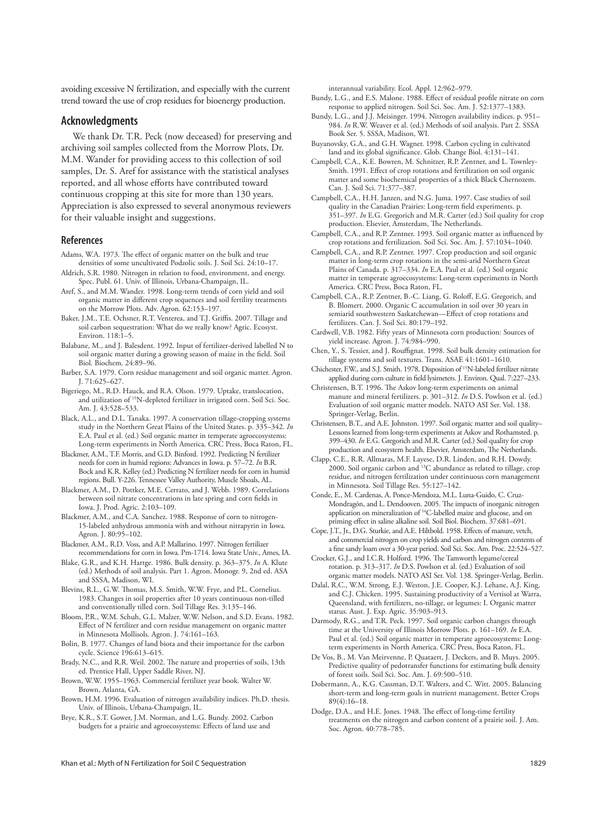avoiding excessive N fertilization, and especially with the current trend toward the use of crop residues for bioenergy production.

### **Acknowledgments**

We thank Dr. T.R. Peck (now deceased) for preserving and archiving soil samples collected from the Morrow Plots, Dr. M.M. Wander for providing access to this collection of soil samples, Dr. S. Aref for assistance with the statistical analyses reported, and all whose efforts have contributed toward continuous cropping at this site for more than 130 years. Appreciation is also expressed to several anonymous reviewers for their valuable insight and suggestions.

#### **References**

- Adams, W.A. 1973. The effect of organic matter on the bulk and true densities of some uncultivated Podzolic soils. J. Soil Sci. 24:10–17.
- Aldrich, S.R. 1980. Nitrogen in relation to food, environment, and energy. Spec. Publ. 61. Univ. of Illinois, Urbana-Champaign, IL.
- Aref, S., and M.M. Wander. 1998. Long-term trends of corn yield and soil organic matter in different crop sequences and soil fertility treatments on the Morrow Plots. Adv. Agron. 62:153–197.
- Baker, J.M., T.E. Ochsner, R.T. Venterea, and T.J. Griffis. 2007. Tillage and soil carbon sequestration: What do we really know? Agric. Ecosyst. Environ. 118:1–5.
- Balabane, M., and J. Balesdent. 1992. Input of fertilizer-derived labelled N to soil organic matter during a growing season of maize in the field. Soil Biol. Biochem. 24:89–96.
- Barber, S.A. 1979. Corn residue management and soil organic matter. Agron. J. 71:625–627.
- Bigeriego, M., R.D. Hauck, and R.A. Olson. 1979. Uptake, translocation, and utilization of 15N-depleted fertilizer in irrigated corn. Soil Sci. Soc. Am. J. 43:528–533.
- Black, A.L., and D.L. Tanaka. 1997. A conservation tillage-cropping systems study in the Northern Great Plains of the United States. p. 335–342. *In* E.A. Paul et al. (ed.) Soil organic matter in temperate agroecosystems: Long-term experiments in North America. CRC Press, Boca Raton, FL.
- Blackmer, A.M., T.F. Morris, and G.D. Binford. 1992. Predicting N fertilizer needs for corn in humid regions: Advances in Iowa. p. 57–72. *In* B.R. Bock and K.R. Kelley (ed.) Predicting N fertilizer needs for corn in humid regions. Bull. Y-226. Tennessee Valley Authority, Muscle Shoals, AL.
- Blackmer, A.M., D. Pottker, M.E. Cerrato, and J. Webb. 1989. Correlations between soil nitrate concentrations in late spring and corn fields in Iowa. J. Prod. Agric. 2:103–109.
- Blackmer, A.M., and C.A. Sanchez. 1988. Response of corn to nitrogen-15-labeled anhydrous ammonia with and without nitrapyrin in Iowa. Agron. J. 80:95–102.
- Blackmer, A.M., R.D. Voss, and A.P. Mallarino. 1997. Nitrogen fertilizer recommendations for corn in Iowa. Pm-1714. Iowa State Univ., Ames, IA.
- Blake, G.R., and K.H. Hartge. 1986. Bulk density. p. 363–375. *In* A. Klute (ed.) Methods of soil analysis. Part 1. Agron. Monogr. 9, 2nd ed. ASA and SSSA, Madison, WI.
- Blevins, R.L., G.W. Thomas, M.S. Smith, W.W. Frye, and P.L. Cornelius. 1983. Changes in soil properties after 10 years continuous non-tilled and conventionally tilled corn. Soil Tillage Res. 3:135–146.
- Bloom, P.R., W.M. Schuh, G.L. Malzer, W.W. Nelson, and S.D. Evans. 1982. Effect of N fertilizer and corn residue management on organic matter in Minnesota Mollisols. Agron. J. 74:161–163.
- Bolin, B. 1977. Changes of land biota and their importance for the carbon cycle. Science 196:613–615.
- Brady, N.C., and R.R. Weil. 2002. The nature and properties of soils, 13th ed. Prentice Hall, Upper Saddle River, NJ.
- Brown, W.W. 1955–1963. Commercial fertilizer year book. Walter W. Brown, Atlanta, GA.
- Brown, H.M. 1996. Evaluation of nitrogen availability indices. Ph.D. thesis. Univ. of Illinois, Urbana-Champaign, IL.
- Brye, K.R., S.T. Gower, J.M. Norman, and L.G. Bundy. 2002. Carbon budgets for a prairie and agroecosystems: Effects of land use and

interannual variability. Ecol. Appl. 12:962–979.

- Bundy, L.G., and E.S. Malone. 1988. Effect of residual profile nitrate on corn response to applied nitrogen. Soil Sci. Soc. Am. J. 52:1377–1383.
- Bundy, L.G., and J.J. Meisinger. 1994. Nitrogen availability indices. p. 951– 984. *In* R.W. Weaver et al. (ed.) Methods of soil analysis. Part 2. SSSA Book Ser. 5. SSSA, Madison, WI.
- Buyanovsky, G.A., and G.H. Wagner. 1998. Carbon cycling in cultivated land and its global significance. Glob. Change Biol. 4:131-141.
- Campbell, C.A., K.E. Bowren, M. Schnitzer, R.P. Zentner, and L. Townley-Smith. 1991. Effect of crop rotations and fertilization on soil organic matter and some biochemical properties of a thick Black Chernozem. Can. J. Soil Sci. 71:377–387.
- Campbell, C.A., H.H. Janzen, and N.G. Juma. 1997. Case studies of soil quality in the Canadian Prairies: Long-term field experiments. p. 351–397. *In* E.G. Gregorich and M.R. Carter (ed.) Soil quality for crop production. Elsevier, Amsterdam, The Netherlands.
- Campbell, C.A., and R.P. Zentner. 1993. Soil organic matter as influenced by crop rotations and fertilization. Soil Sci. Soc. Am. J. 57:1034–1040.
- Campbell, C.A., and R.P. Zentner. 1997. Crop production and soil organic matter in long-term crop rotations in the semi-arid Northern Great Plains of Canada. p. 317–334. *In* E.A. Paul et al. (ed.) Soil organic matter in temperate agroecosystems: Long-term experiments in North America. CRC Press, Boca Raton, FL.
- Campbell, C.A., R.P. Zentner, B.-C. Liang, G. Roloff, E.G. Gregorich, and B. Blomert. 2000. Organic C accumulation in soil over 30 years in semiarid southwestern Saskatchewan—Effect of crop rotations and fertilizers. Can. J. Soil Sci. 80:179–192.
- Cardwell, V.B. 1982. Fifty years of Minnesota corn production: Sources of yield increase. Agron. J. 74:984–990.
- Chen, Y., S. Tessier, and J. Rouffignat. 1998. Soil bulk density estimation for tillage systems and soil textures. Trans. ASAE 41:1601–1610.
- Chichester, F.W., and S.J. Smith. 1978. Disposition of 15N-labeled fertilizer nitrate applied during corn culture in field lysimeters. J. Environ. Oual. 7:227-233.
- Christensen, B.T. 1996. The Askov long-term experiments on animal manure and mineral fertilizers. p. 301–312. *In* D.S. Powlson et al. (ed.) Evaluation of soil organic matter models. NATO ASI Ser. Vol. 138. Springer-Verlag, Berlin.
- Christensen, B.T., and A.E. Johnston. 1997. Soil organic matter and soil quality– Lessons learned from long-term experiments at Askov and Rothamsted. p. 399–430. *In* E.G. Gregorich and M.R. Carter (ed.) Soil quality for crop production and ecosystem health. Elsevier, Amsterdam, The Netherlands.
- Clapp, C.E., R.R. Allmaras, M.F. Layese, D.R. Linden, and R.H. Dowdy. 2000. Soil organic carbon and <sup>13</sup>C abundance as related to tillage, crop residue, and nitrogen fertilization under continuous corn management in Minnesota. Soil Tillage Res. 55:127–142.
- Conde, E., M. Cardenas, A. Ponce-Mendoza, M.L. Luna-Guido, C. Cruz-Mondragón, and L. Dendooven. 2005. The impacts of inorganic nitrogen application on mineralization of 14C-labelled maize and glucose, and on priming effect in saline alkaline soil. Soil Biol. Biochem. 37:681-691.
- Cope, J.T., Jr., D.G. Sturkie, and A.E. Hiltbold. 1958. Effects of manure, vetch, and commercial nitrogen on crop yields and carbon and nitrogen contents of a fine sandy loam over a 30-year period. Soil Sci. Soc. Am. Proc. 22:524-527.
- Crocker, G.J., and I.C.R. Holford. 1996. The Tamworth legume/cereal rotation. p. 313–317. *In* D.S. Powlson et al. (ed.) Evaluation of soil organic matter models. NATO ASI Ser. Vol. 138. Springer-Verlag, Berlin.
- Dalal, R.C., W.M. Strong, E.J. Weston, J.E. Cooper, K.J. Lehane, A.J. King, and C.J. Chicken. 1995. Sustaining productivity of a Vertisol at Warra, Queensland, with fertilizers, no-tillage, or legumes: I. Organic matter status. Aust. J. Exp. Agric. 35:903–913.
- Darmody, R.G., and T.R. Peck. 1997. Soil organic carbon changes through time at the University of Illinois Morrow Plots. p. 161–169. *In* E.A. Paul et al. (ed.) Soil organic matter in temperate agroecosystems: Longterm experiments in North America. CRC Press, Boca Raton, FL.
- De Vos, B., M. Van Meirvenne, P. Quataert, J. Deckers, and B. Muys. 2005. Predictive quality of pedotransfer functions for estimating bulk density of forest soils. Soil Sci. Soc. Am. J. 69:500–510.
- Dobermann, A., K.G. Cassman, D.T. Walters, and C. Witt. 2005. Balancing short-term and long-term goals in nutrient management. Better Crops 89(4):16–18.
- Dodge, D.A., and H.E. Jones. 1948. The effect of long-time fertility treatments on the nitrogen and carbon content of a prairie soil. J. Am. Soc. Agron. 40:778–785.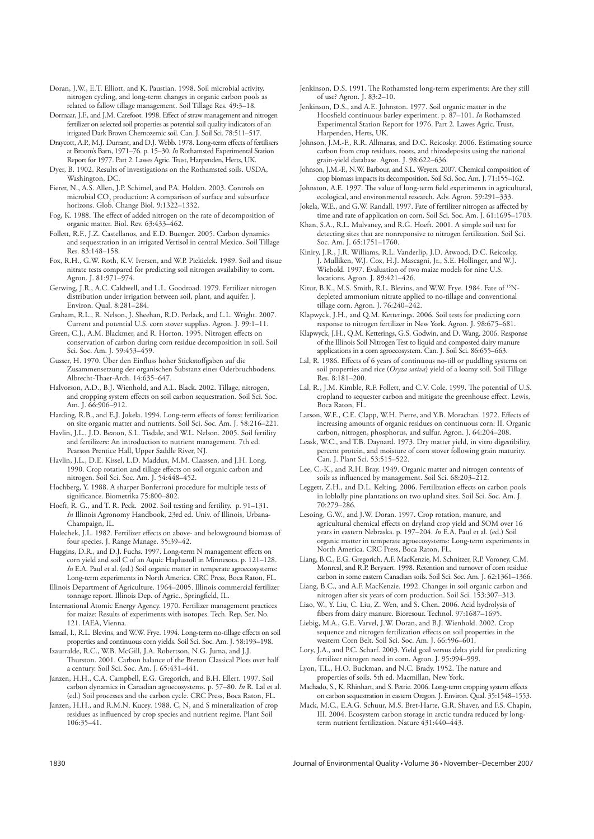Doran, J.W., E.T. Elliott, and K. Paustian. 1998. Soil microbial activity, nitrogen cycling, and long-term changes in organic carbon pools as related to fallow tillage management. Soil Tillage Res. 49:3–18.

- Dormaar, J.F., and J.M. Carefoot. 1998. Effect of straw management and nitrogen fertilizer on selected soil properties as potential soil quality indicators of an irrigated Dark Brown Chernozemic soil. Can. J. Soil Sci. 78:511–517.
- Draycott, A.P., M.J. Durrant, and D.J. Webb. 1978. Long-term effects of fertilisers at Broom's Barn, 1971–76. p. 15–30. *In* Rothamsted Experimental Station Report for 1977. Part 2. Lawes Agric. Trust, Harpenden, Herts, UK.
- Dyer, B. 1902. Results of investigations on the Rothamsted soils. USDA, Washington, DC.

Fierer, N., A.S. Allen, J.P. Schimel, and P.A. Holden. 2003. Controls on microbial CO<sub>2</sub> production: A comparison of surface and subsurface horizons. Glob. Change Biol. 9:1322–1332.

- Fog, K. 1988. The effect of added nitrogen on the rate of decomposition of organic matter. Biol. Rev. 63:433–462.
- Follett, R.F., J.Z. Castellanos, and E.D. Buenger. 2005. Carbon dynamics and sequestration in an irrigated Vertisol in central Mexico. Soil Tillage Res. 83:148–158.

Fox, R.H., G.W. Roth, K.V. Iversen, and W.P. Piekielek. 1989. Soil and tissue nitrate tests compared for predicting soil nitrogen availability to corn. Agron. J. 81:971–974.

- Gerwing, J.R., A.C. Caldwell, and L.L. Goodroad. 1979. Fertilizer nitrogen distribution under irrigation between soil, plant, and aquifer. J. Environ. Qual. 8:281–284.
- Graham, R.L., R. Nelson, J. Sheehan, R.D. Perlack, and L.L. Wright. 2007. Current and potential U.S. corn stover supplies. Agron. J. 99:1–11.
- Green, C.J., A.M. Blackmer, and R. Horton. 1995. Nitrogen effects on conservation of carbon during corn residue decomposition in soil. Soil Sci. Soc. Am. J. 59:453–459.

Gusser, H. 1970. Über den Einfluss hoher Stickstoffgaben auf die Zusammensetzung der organischen Substanz eines Oderbruchbodens. Albrecht-Thaer-Arch. 14:635-647.

- Halvorson, A.D., B.J. Wienhold, and A.L. Black. 2002. Tillage, nitrogen, and cropping system effects on soil carbon sequestration. Soil Sci. Soc. Am. J. 66:906–912.
- Harding, R.B., and E.J. Jokela. 1994. Long-term effects of forest fertilization on site organic matter and nutrients. Soil Sci. Soc. Am. J. 58:216–221.
- Havlin, J.L., J.D. Beaton, S.L. Tisdale, and W.L. Nelson. 2005. Soil fertility and fertilizers: An introduction to nutrient management. 7th ed. Pearson Prentice Hall, Upper Saddle River, NJ.

Havlin, J.L., D.E. Kissel, L.D. Maddux, M.M. Claassen, and J.H. Long. 1990. Crop rotation and tillage effects on soil organic carbon and nitrogen. Soil Sci. Soc. Am. J. 54:448–452.

Hochberg, Y. 1988. A sharper Bonferroni procedure for multiple tests of significance. Biometrika 75:800-802.

- Hoeft, R. G., and T. R. Peck. 2002. Soil testing and fertility. p. 91–131. *In* Illinois Agronomy Handbook, 23rd ed. Univ. of Illinois, Urbana-Champaign, IL.
- Holechek, J.L. 1982. Fertilizer effects on above- and belowground biomass of four species. J. Range Manage. 35:39–42.

Huggins, D.R., and D.J. Fuchs. 1997. Long-term N management effects on corn yield and soil C of an Aquic Haplustoll in Minnesota. p. 121–128. *In* E.A. Paul et al. (ed.) Soil organic matter in temperate agroecosystems: Long-term experiments in North America. CRC Press, Boca Raton, FL.

Illinois Department of Agriculture. 1964–2005. Illinois commercial fertilizer tonnage report. Illinois Dep. of Agric., Springfield, IL.

International Atomic Energy Agency. 1970. Fertilizer management practices for maize: Results of experiments with isotopes. Tech. Rep. Ser. No. 121. IAEA, Vienna.

Ismail, I., R.L. Blevins, and W.W. Frye. 1994. Long-term no-tillage effects on soil properties and continuous corn yields. Soil Sci. Soc. Am. J. 58:193–198.

- Izaurralde, R.C., W.B. McGill, J.A. Robertson, N.G. Juma, and J.J. Thurston. 2001. Carbon balance of the Breton Classical Plots over half a century. Soil Sci. Soc. Am. J. 65:431–441.
- Janzen, H.H., C.A. Campbell, E.G. Gregorich, and B.H. Ellert. 1997. Soil carbon dynamics in Canadian agroecosystems. p. 57–80. *In* R. Lal et al. (ed.) Soil processes and the carbon cycle. CRC Press, Boca Raton, FL.
- Janzen, H.H., and R.M.N. Kucey. 1988. C, N, and S mineralization of crop residues as influenced by crop species and nutrient regime. Plant Soil 106:35–41.

Jenkinson, D.S. 1991. The Rothamsted long-term experiments: Are they still of use? Agron. J. 83:2–10.

Jenkinson, D.S., and A.E. Johnston. 1977. Soil organic matter in the Hoosfield continuous barley experiment. p. 87-101. *In* Rothamsted Experimental Station Report for 1976. Part 2. Lawes Agric. Trust, Harpenden, Herts, UK.

Johnson, J.M.-F., R.R. Allmaras, and D.C. Reicosky. 2006. Estimating source carbon from crop residues, roots, and rhizodeposits using the national grain-yield database. Agron. J. 98:622–636.

Johnson, J.M.-F., N.W. Barbour, and S.L. Weyers. 2007. Chemical composition of crop biomass impacts its decomposition. Soil Sci. Soc. Am. J. 71:155–162.

- Johnston, A.E. 1997. The value of long-term field experiments in agricultural, ecological, and environmental research. Adv. Agron. 59:291–333.
- Jokela, W.E., and G.W. Randall. 1997. Fate of fertilizer nitrogen as affected by time and rate of application on corn. Soil Sci. Soc. Am. J. 61:1695–1703.

Khan, S.A., R.L. Mulvaney, and R.G. Hoeft. 2001. A simple soil test for detecting sites that are nonreponsive to nitrogen fertilization. Soil Sci. Soc. Am. J. 65:1751–1760.

Kiniry, J.R., J.R. Williams, R.L. Vanderlip, J.D. Atwood, D.C. Reicosky, J. Mulliken, W.J. Cox, H.J. Mascagni, Jr., S.E. Hollinger, and W.J. Wiebold. 1997. Evaluation of two maize models for nine U.S. locations. Agron. J. 89:421–426.

- Kitur, B.K., M.S. Smith, R.L. Blevins, and W.W. Frye. 1984. Fate of 15Ndepleted ammonium nitrate applied to no-tillage and conventional tillage corn. Agron. J. 76:240–242.
- Klapwyck, J.H., and Q.M. Ketterings. 2006. Soil tests for predicting corn response to nitrogen fertilizer in New York. Agron. J. 98:675–681.
- Klapwyck, J.H., Q.M. Ketterings, G.S. Godwin, and D. Wang. 2006. Response of the Illinois Soil Nitrogen Test to liquid and composted dairy manure applications in a corn agroecosystem. Can. J. Soil Sci. 86:655–663.

Lal, R. 1986. Effects of 6 years of continuous no-till or puddling systems on soil properties and rice (*Oryza sativa*) yield of a loamy soil. Soil Tillage Res. 8:181–200.

- Lal, R., J.M. Kimble, R.F. Follett, and C.V. Cole. 1999. The potential of U.S. cropland to sequester carbon and mitigate the greenhouse effect. Lewis, Boca Raton, FL.
- Larson, W.E., C.E. Clapp, W.H. Pierre, and Y.B. Morachan. 1972. Effects of increasing amounts of organic residues on continuous corn: II. Organic carbon, nitrogen, phosphorus, and sulfur. Agron. J. 64:204–208.
- Leask, W.C., and T.B. Daynard. 1973. Dry matter yield, in vitro digestibility, percent protein, and moisture of corn stover following grain maturity. Can. J. Plant Sci. 53:515–522.

Lee, C.-K., and R.H. Bray. 1949. Organic matter and nitrogen contents of soils as influenced by management. Soil Sci. 68:203-212.

Leggett, Z.H., and D.L. Kelting. 2006. Fertilization effects on carbon pools in loblolly pine plantations on two upland sites. Soil Sci. Soc. Am. J. 70:279–286.

Lesoing, G.W., and J.W. Doran. 1997. Crop rotation, manure, and agricultural chemical effects on dryland crop yield and SOM over 16 years in eastern Nebraska. p. 197–204. *In* E.A. Paul et al. (ed.) Soil organic matter in temperate agroecosystems: Long-term experiments in North America. CRC Press, Boca Raton, FL.

Liang, B.C., E.G. Gregorich, A.F. MacKenzie, M. Schnitzer, R.P. Voroney, C.M. Monreal, and R.P. Beryaert. 1998. Retention and turnover of corn residue carbon in some eastern Canadian soils. Soil Sci. Soc. Am. J. 62:1361–1366.

Liang, B.C., and A.F. MacKenzie. 1992. Changes in soil organic carbon and nitrogen after six years of corn production. Soil Sci. 153:307–313.

Liao, W., Y. Liu, C. Liu, Z. Wen, and S. Chen. 2006. Acid hydrolysis of fibers from dairy manure. Bioresour. Technol. 97:1687-1695.

Liebig, M.A., G.E. Varvel, J.W. Doran, and B.J. Wienhold. 2002. Crop sequence and nitrogen fertilization effects on soil properties in the western Corn Belt. Soil Sci. Soc. Am. J. 66:596–601.

Lory, J.A., and P.C. Scharf. 2003. Yield goal versus delta yield for predicting fertilizer nitrogen need in corn. Agron. J. 95:994–999.

Lyon, T.L., H.O. Buckman, and N.C. Brady. 1952. The nature and properties of soils. 5th ed. Macmillan, New York.

Machado, S., K. Rhinhart, and S. Petrie. 2006. Long-term cropping system effects on carbon sequestration in eastern Oregon. J. Environ. Qual. 35:1548–1553.

Mack, M.C., E.A.G. Schuur, M.S. Bret-Harte, G.R. Shaver, and F.S. Chapin, III. 2004. Ecosystem carbon storage in arctic tundra reduced by longterm nutrient fertilization. Nature 431:440–443.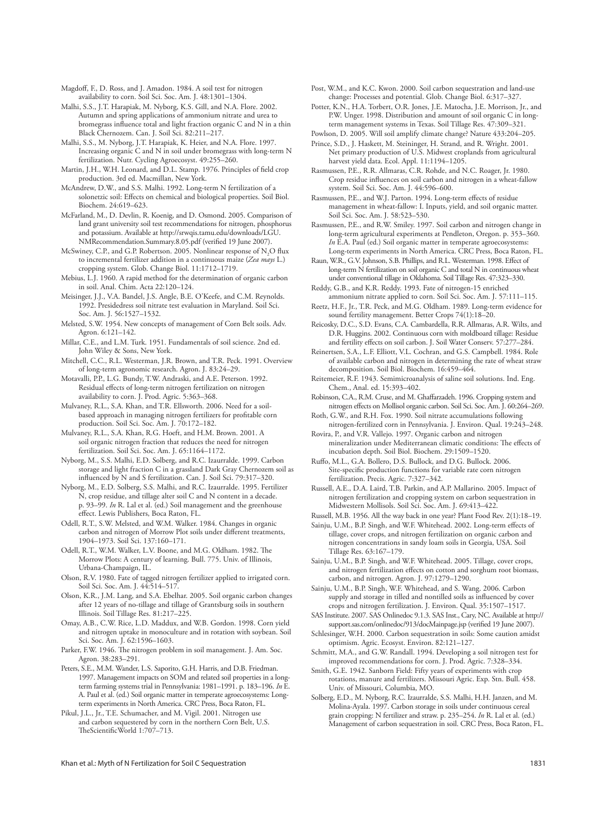Magdoff, F., D. Ross, and J. Amadon. 1984. A soil test for nitrogen availability to corn. Soil Sci. Soc. Am. J. 48:1301–1304.

Malhi, S.S., J.T. Harapiak, M. Nyborg, K.S. Gill, and N.A. Flore. 2002. Autumn and spring applications of ammonium nitrate and urea to bromegrass influence total and light fraction organic C and N in a thin Black Chernozem. Can. J. Soil Sci. 82:211–217.

Malhi, S.S., M. Nyborg, J.T. Harapiak, K. Heier, and N.A. Flore. 1997. Increasing organic C and N in soil under bromegrass with long-term N fertilization. Nutr. Cycling Agroecosyst. 49:255–260.

Martin, J.H., W.H. Leonard, and D.L. Stamp. 1976. Principles of field crop production. 3rd ed. Macmillan, New York.

McAndrew, D.W., and S.S. Malhi. 1992. Long-term N fertilization of a solonetzic soil: Effects on chemical and biological properties. Soil Biol. Biochem. 24:619–623.

McFarland, M., D. Devlin, R. Koenig, and D. Osmond. 2005. Comparison of land grant university soil test recommendations for nitrogen, phosphorus and potassium. Available at http://srwqis.tamu.edu/downloads/LGU. NMRecommendation.Summary.8.05.pdf (verified 19 June 2007)

McSwiney, C.P., and G.P. Robertson. 2005. Nonlinear response of  $\mathrm{N}_2\mathrm{O}$  flux to incremental fertilizer addition in a continuous maize (*Zea mays* L.) cropping system. Glob. Change Biol. 11:1712–1719.

Mebius, L.J. 1960. A rapid method for the determination of organic carbon in soil. Anal. Chim. Acta 22:120–124.

Meisinger, J.J., V.A. Bandel, J.S. Angle, B.E. O'Keefe, and C.M. Reynolds. 1992. Presidedress soil nitrate test evaluation in Maryland. Soil Sci. Soc. Am. J. 56:1527–1532.

Melsted, S.W. 1954. New concepts of management of Corn Belt soils. Adv. Agron. 6:121–142.

Millar, C.E., and L.M. Turk. 1951. Fundamentals of soil science. 2nd ed. John Wiley & Sons, New York.

Mitchell, C.C., R.L. Westerman, J.R. Brown, and T.R. Peck. 1991. Overview of long-term agronomic research. Agron. J. 83:24–29.

Motavalli, P.P., L.G. Bundy, T.W. Andraski, and A.E. Peterson. 1992. Residual effects of long-term nitrogen fertilization on nitrogen availability to corn. J. Prod. Agric. 5:363–368.

Mulvaney, R.L., S.A. Khan, and T.R. Ellsworth. 2006. Need for a soilbased approach in managing nitrogen fertilizers for profitable corn production. Soil Sci. Soc. Am. J. 70:172–182.

Mulvaney, R.L., S.A. Khan, R.G. Hoeft, and H.M. Brown. 2001. A soil organic nitrogen fraction that reduces the need for nitrogen fertilization. Soil Sci. Soc. Am. J. 65:1164–1172.

Nyborg, M., S.S. Malhi, E.D. Solberg, and R.C. Izaurralde. 1999. Carbon storage and light fraction C in a grassland Dark Gray Chernozem soil as influenced by N and S fertilization. Can. J. Soil Sci. 79:317-320.

Nyborg, M., E.D. Solberg, S.S. Malhi, and R.C. Izaurralde. 1995. Fertilizer N, crop residue, and tillage alter soil C and N content in a decade. p. 93–99. *In* R. Lal et al. (ed.) Soil management and the greenhouse effect. Lewis Publishers, Boca Raton, FL

Odell, R.T., S.W. Melsted, and W.M. Walker. 1984. Changes in organic carbon and nitrogen of Morrow Plot soils under different treatments. 1904–1973. Soil Sci. 137:160–171.

Odell, R.T., W.M. Walker, L.V. Boone, and M.G. Oldham. 1982. The Morrow Plots: A century of learning. Bull. 775. Univ. of Illinois, Urbana-Champaign, IL.

Olson, R.V. 1980. Fate of tagged nitrogen fertilizer applied to irrigated corn. Soil Sci. Soc. Am. J. 44:514–517.

Olson, K.R., J.M. Lang, and S.A. Ebelhar. 2005. Soil organic carbon changes after 12 years of no-tillage and tillage of Grantsburg soils in southern Illinois. Soil Tillage Res. 81:217–225.

Omay, A.B., C.W. Rice, L.D. Maddux, and W.B. Gordon. 1998. Corn yield and nitrogen uptake in monoculture and in rotation with soybean. Soil Sci. Soc. Am. J. 62:1596–1603.

Parker, F.W. 1946. The nitrogen problem in soil management. J. Am. Soc. Agron. 38:283–291.

Peters, S.E., M.M. Wander, L.S. Saporito, G.H. Harris, and D.B. Friedman. 1997. Management impacts on SOM and related soil properties in a longterm farming systems trial in Pennsylvania: 1981–1991. p. 183–196. *In* E. A. Paul et al. (ed.) Soil organic matter in temperate agroecosystems: Longterm experiments in North America. CRC Press, Boca Raton, FL.

Pikul, J.L., Jr., T.E. Schumacher, and M. Vigil. 2001. Nitrogen use and carbon sequestered by corn in the northern Corn Belt, U.S. TheScientificWorld 1:707-713.

Khan et al.: Myth of N Fertilization for Soil C Sequestration 1831

Post, W.M., and K.C. Kwon. 2000. Soil carbon sequestration and land-use change: Processes and potential. Glob. Change Biol. 6:317–327.

Potter, K.N., H.A. Torbert, O.R. Jones, J.E. Matocha, J.E. Morrison, Jr., and P.W. Unger. 1998. Distribution and amount of soil organic C in longterm management systems in Texas. Soil Tillage Res. 47:309–321.

Powlson, D. 2005. Will soil amplify climate change? Nature 433:204–205. Prince, S.D., J. Haskett, M. Steininger, H. Strand, and R. Wright. 2001.

Net primary production of U.S. Midwest croplands from agricultural harvest yield data. Ecol. Appl. 11:1194–1205.

Rasmussen, P.E., R.R. Allmaras, C.R. Rohde, and N.C. Roager, Jr. 1980. Crop residue influences on soil carbon and nitrogen in a wheat-fallow system. Soil Sci. Soc. Am. J. 44:596–600.

Rasmussen, P.E., and W.J. Parton. 1994. Long-term effects of residue management in wheat-fallow: I. Inputs, yield, and soil organic matter. Soil Sci. Soc. Am. J. 58:523–530.

Rasmussen, P.E., and R.W. Smiley. 1997. Soil carbon and nitrogen change in long-term agricultural experiments at Pendleton, Oregon. p. 353–360. *In* E.A. Paul (ed.) Soil organic matter in temperate agroecosystems: Long-term experiments in North America. CRC Press, Boca Raton, FL.

Raun, W.R., G.V. Johnson, S.B. Phillips, and R.L. Westerman. 1998. Effect of long-term N fertilization on soil organic C and total N in continuous wheat under conventional tillage in Oklahoma. Soil Tillage Res. 47:323–330.

Reddy, G.B., and K.R. Reddy. 1993. Fate of nitrogen-15 enriched ammonium nitrate applied to corn. Soil Sci. Soc. Am. J. 57:111–115.

Reetz, H.F., Jr., T.R. Peck, and M.G. Oldham. 1989. Long-term evidence for sound fertility management. Better Crops 74(1):18–20.

Reicosky, D.C., S.D. Evans, C.A. Cambardella, R.R. Allmaras, A.R. Wilts, and D.R. Huggins. 2002. Continuous corn with moldboard tillage: Residue and fertility effects on soil carbon. J. Soil Water Conserv. 57:277-284.

Reinertsen, S.A., L.F. Elliott, V.L. Cochran, and G.S. Campbell. 1984. Role of available carbon and nitrogen in determining the rate of wheat straw decomposition. Soil Biol. Biochem. 16:459–464.

Reitemeier, R.F. 1943. Semimicroanalysis of saline soil solutions. Ind. Eng. Chem., Anal. ed. 15:393–402.

Robinson, C.A., R.M. Cruse, and M. Ghaffarzadeh. 1996. Cropping system and nitrogen effects on Mollisol organic carbon. Soil Sci. Soc. Am. J. 60:264-269.

Roth, G.W., and R.H. Fox. 1990. Soil nitrate accumulations following nitrogen-fertilized corn in Pennsylvania. J. Environ. Qual. 19:243–248.

Rovira, P., and V.R. Vallejo. 1997. Organic carbon and nitrogen mineralization under Mediterranean climatic conditions: The effects of incubation depth. Soil Biol. Biochem. 29:1509–1520.

Ruffo, M.L., G.A. Bollero, D.S. Bullock, and D.G. Bullock. 2006. Site-specific production functions for variable rate corn nitrogen fertilization. Precis. Agric. 7:327–342.

Russell, A.E., D.A. Laird, T.B. Parkin, and A.P. Mallarino. 2005. Impact of nitrogen fertilization and cropping system on carbon sequestration in Midwestern Mollisols. Soil Sci. Soc. Am. J. 69:413–422.

Russell, M.B. 1956. All the way back in one year? Plant Food Rev. 2(1):18–19.

Sainju, U.M., B.P. Singh, and W.F. Whitehead. 2002. Long-term effects of tillage, cover crops, and nitrogen fertilization on organic carbon and nitrogen concentrations in sandy loam soils in Georgia, USA. Soil Tillage Res. 63:167–179.

Sainju, U.M., B.P. Singh, and W.F. Whitehead. 2005. Tillage, cover crops, and nitrogen fertilization effects on cotton and sorghum root biomass, carbon, and nitrogen. Agron. J. 97:1279–1290.

Sainju, U.M., B.P. Singh, W.F. Whitehead, and S. Wang. 2006. Carbon supply and storage in tilled and nontilled soils as influenced by cover crops and nitrogen fertilization. J. Environ. Qual. 35:1507–1517.

SAS Institute. 2007. SAS Onlinedoc 9.1.3. SAS Inst., Cary, NC. Available at http:// support.sas.com/onlinedoc/913/docMainpage.jsp (verified 19 June 2007)

Schlesinger, W.H. 2000. Carbon sequestration in soils: Some caution amidst optimism. Agric. Ecosyst. Environ. 82:121–127.

Schmitt, M.A., and G.W. Randall. 1994. Developing a soil nitrogen test for improved recommendations for corn. J. Prod. Agric. 7:328–334.

Smith, G.E. 1942. Sanborn Field: Fifty years of experiments with crop rotations, manure and fertilizers. Missouri Agric. Exp. Stn. Bull. 458. Univ. of Missouri, Columbia, MO.

Solberg, E.D., M. Nyborg, R.C. Izaurralde, S.S. Malhi, H.H. Janzen, and M. Molina-Ayala. 1997. Carbon storage in soils under continuous cereal grain cropping: N fertilizer and straw. p. 235–254. *In* R. Lal et al. (ed.) Management of carbon sequestration in soil. CRC Press, Boca Raton, FL.